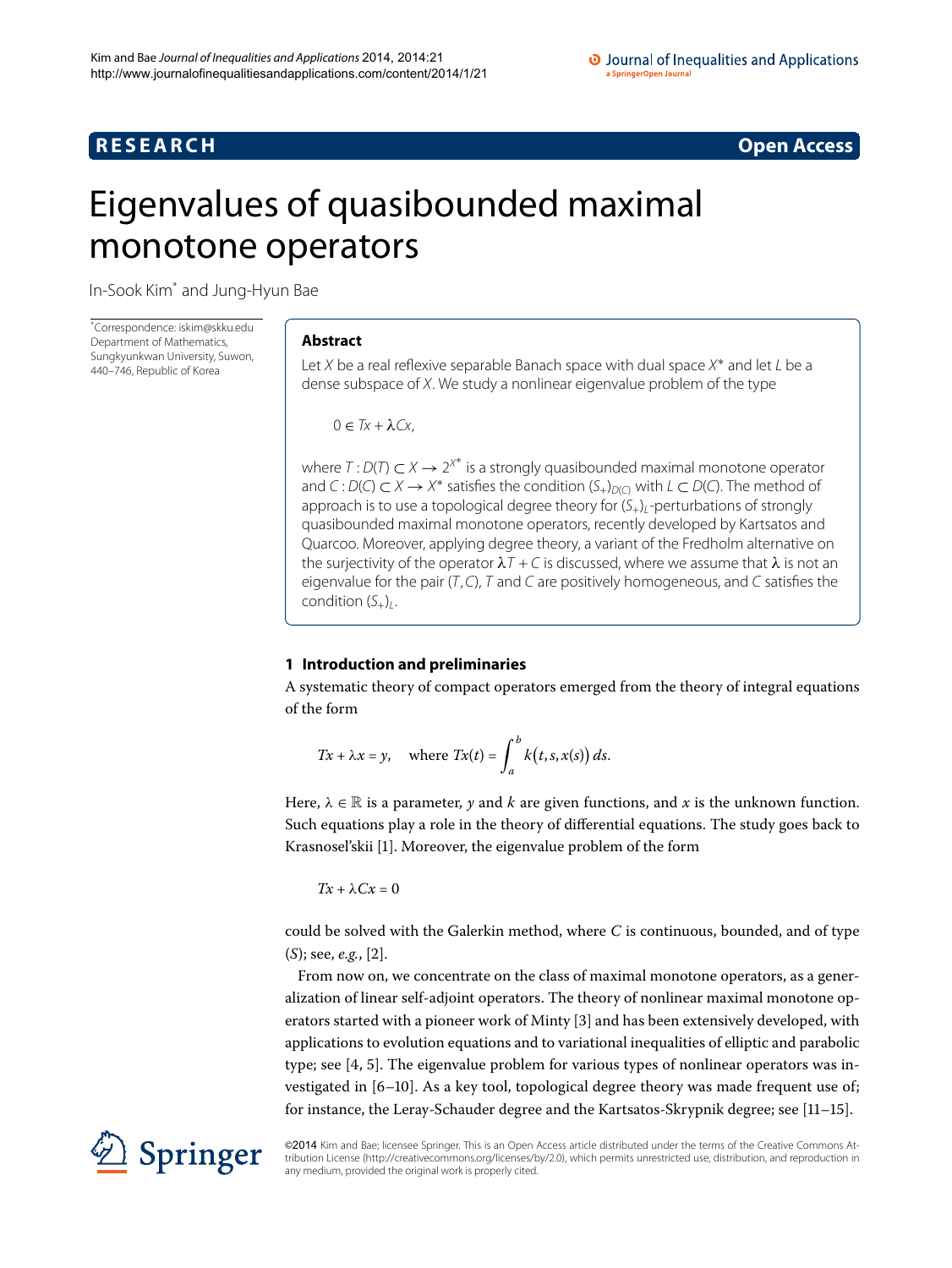# **R E S E A R C H Open Access**

# <span id="page-0-0"></span>Eigenvalues of quasibounded maximal monotone operators

In-Sook Ki[m\\*](#page-0-0) and Jung-Hyun Bae

\* Correspondence: [iskim@skku.edu](mailto:iskim@skku.edu) Department of Mathematics, Sungkyunkwan University, Suwon, 440–746, Republic of Korea

## **Abstract**

Let X be a real reflexive separable Banach space with dual space X<sup>\*</sup> and let L be a dense subspace of X. We study a nonlinear eigenvalue problem of the type

 $0 \in Tx + \lambda Cx$ 

<span id="page-0-1"></span>where  $T: D(T) \subset X \to 2^{X^*}$  is a strongly quasibounded maximal monotone operator and C :  $D(C) \subset X \to X^*$  satisfies the condition  $(S_+)_{D(C)}$  with  $L \subset D(C)$ . The method of approach is to use a topological degree theory for  $(S_{+})$ -perturbations of strongly quasibounded maximal monotone operators, recently developed by Kartsatos and Quarcoo. Moreover, applying degree theory, a variant of the Fredholm alternative on the surjectivity of the operator  $\lambda T + C$  is discussed, where we assume that  $\lambda$  is not an eigenvalue for the pair  $(T, C)$ , T and C are positively homogeneous, and C satisfies the condition  $(S_+)$ .

# **1 Introduction and preliminaries**

A systematic theory of compact operators emerged from the theory of integral equations of the form

$$
Tx + \lambda x = y, \quad \text{where } Tx(t) = \int_{a}^{b} k(t, s, x(s)) ds.
$$

Here,  $\lambda \in \mathbb{R}$  is a parameter, y and k are given functions, and x is the unknown function. Such equations play a role in the theory of differential equations. The study goes back to Krasnosel'skii [\[](#page-15-0)1]. Moreover, the eigenvalue problem of the form

$$
Tx + \lambda Cx = 0
$$

could be solved with the Galerkin method, where *C* is continuous, bounded, and of type  $(S)$ ; see, *e.g.*, [\[](#page-15-1)2].

From now on, we concentrate on the class of maximal monotone operators, as a generalization of linear self-adjoint operators. The theory of nonlinear maximal monotone op-erators started with a pioneer work of Minty [\[](#page-15-2)3] and has been extensively developed, with applications to evolution equations and to variational inequalities of elliptic and parabolic type; see  $[4, 5]$ . The eigenvalue problem for various types of nonlinear operators was investigated in [6-10]. As a key tool, topological degree theory was made frequent use of; for instance, the Leray-Schauder degree and the Kartsatos-Skrypnik degree; see  $[11-15]$  $[11-15]$ .



©2014 Kim and Bae; licensee Springer. This is an Open Access article distributed under the terms of the Creative Commons Attribution License ([http://creativecommons.org/licenses/by/2.0\)](http://creativecommons.org/licenses/by/2.0), which permits unrestricted use, distribution, and reproduction in any medium, provided the original work is properly cited.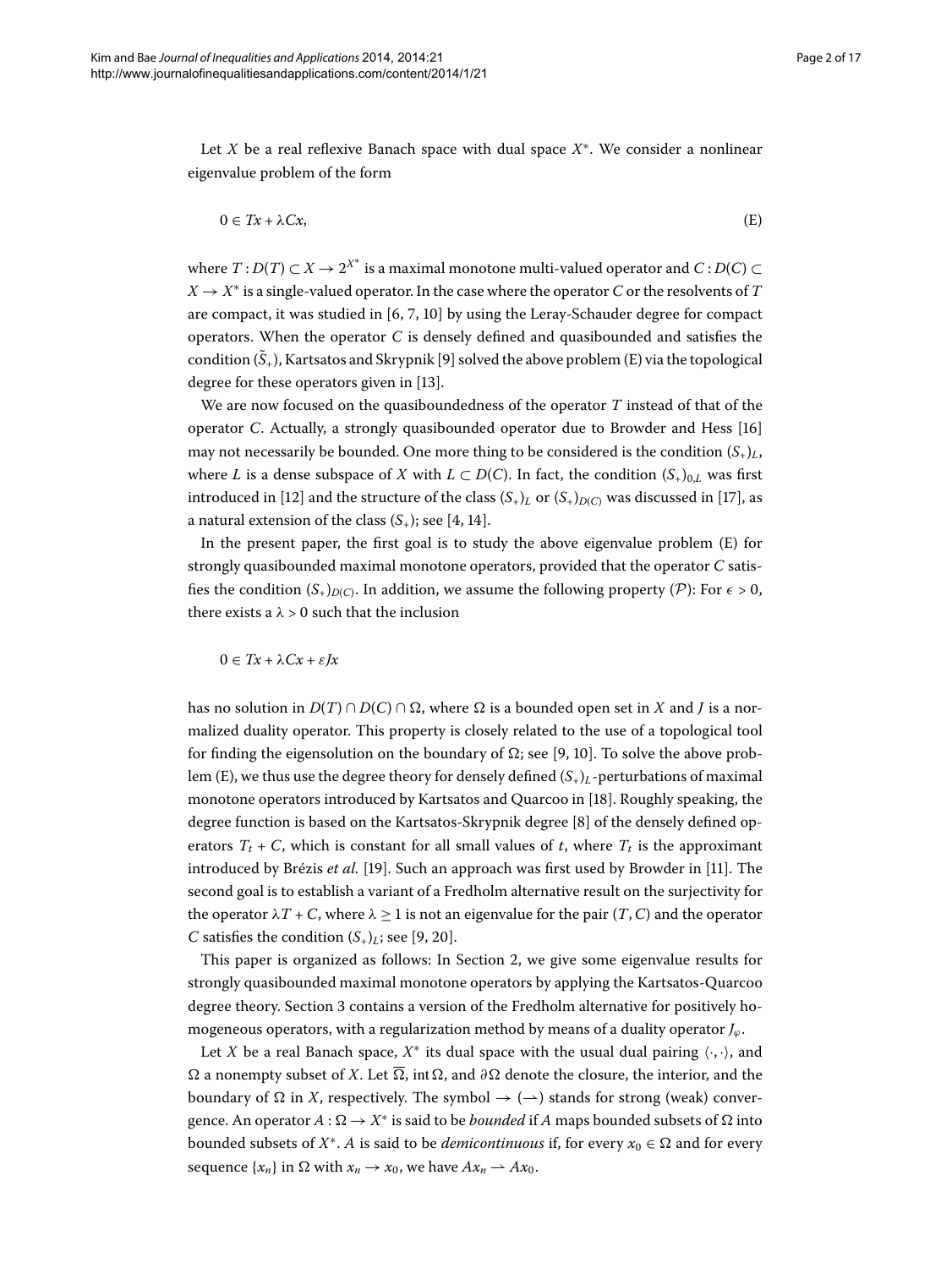Let *X* be a real reflexive Banach space with dual space *X*∗. We consider a nonlinear eigenvalue problem of the form

<span id="page-1-0"></span>
$$
0 \in Tx + \lambda Cx,\tag{E}
$$

where  $T: D(T) \subset X \to 2^{X^*}$  is a maximal monotone multi-valued operator and  $C: D(C) \subset$  $X \rightarrow X^*$  is a single-valued operator. In the case where the operator *C* or the resolvents of *T* are compact, it was studied in  $[6, 7, 10]$  $[6, 7, 10]$  by using the Leray-Schauder degree for compact operators. When the operator *C* is densely defined and quasibounded and satisfies the condition  $(\tilde{S}_+)$ , Kartsatos and Skrypnik [9[\]](#page-15-9) solved the above problem [\(E\)](#page-1-0) via the topological degree for these operators given in [13[\]](#page-16-1).

We are now focused on the quasiboundedness of the operator *T* instead of that of the operator *C*. Actually, a strongly quasibounded operator due to Browder and Hess [] may not necessarily be bounded. One more thing to be considered is the condition  $(S_{+})_L$ , where *L* is a dense subspace of *X* with  $L \subset D(C)$ . In fact, the condition  $(S_+)_{0,L}$  was first introduced in [\[](#page-16-4)12] and the structure of the class  $(S_+)$ <sub>*L*</sub> or  $(S_+)$ <sub>*D*(*C*)</sub> was discussed in [17], as a natural extension of the class  $(S_+)$ ; see [4, 14[\]](#page-16-5).

In the present paper, the first goal is to study the above eigenvalue problem [\(E\)](#page-1-0) for strongly quasibounded maximal monotone operators, provided that the operator *C* satisfies the condition  $(S_+)_{D(C)}$ . In addition, we assume the following property (P): For  $\epsilon > 0$ , there exists a  $\lambda > 0$  such that the inclusion

$$
0 \in Tx + \lambda Cx + \varepsilon Jx
$$

has no solution in  $D(T) \cap D(C) \cap \Omega$ , where  $\Omega$  is a bounded open set in *X* and *J* is a normalized duality operator. This property is closely related to the use of a topological tool for finding the eigensolution on the boundary of  $\Omega$ ; see [9, 10]. To solve the above prob-lem ([E](#page-1-0)), we thus use the degree theory for densely defined  $(S_+)$ <sub>L</sub>-perturbations of maximal monotone operators introduced by Kartsatos and Quarcoo in [\[](#page-16-6)18]. Roughly speaking, the degree function is based on the Kartsatos-Skrypnik degree [\[](#page-15-10)8] of the densely defined operators  $T_t$  + *C*, which is constant for all small values of *t*, where  $T_t$  is the approximant introduced by Brézis *et al.* [19]. Such an approach was first used by Browder in [11]. The second goal is to establish a variant of a Fredholm alternative result on the surjectivity for the operator  $\lambda T + C$ , where  $\lambda \geq 1$  is not an eigenvalue for the pair  $(T, C)$  and the operator *C* satisfies the condition  $(S_+)$ *L*; see [9[,](#page-15-9) 20[\]](#page-16-8).

This paper is organized as follows: In Section 2, we give some eigenvalue results for strongly quasibounded maximal monotone operators by applying the Kartsatos-Quarcoo degree theory. Section 3 contains a version of the Fredholm alternative for positively homogeneous operators, with a regularization method by means of a duality operator *Jϕ*.

Let *X* be a real Banach space,  $X^*$  its dual space with the usual dual pairing  $\langle \cdot, \cdot \rangle$ , and  $\Omega$  a nonempty subset of *X*. Let  $\overline{\Omega}$ , int  $\Omega$ , and  $\partial\Omega$  denote the closure, the interior, and the boundary of  $\Omega$  in *X*, respectively. The symbol  $\rightarrow$  ( $\rightarrow$ ) stands for strong (weak) convergence. An operator  $A : \Omega \to X^*$  is said to be *bounded* if *A* maps bounded subsets of  $\Omega$  into bounded subsets of  $X^*$ . *A* is said to be *demicontinuous* if, for every  $x_0 \in \Omega$  and for every sequence  $\{x_n\}$  in  $\Omega$  with  $x_n \to x_0$ , we have  $Ax_n \to Ax_0$ .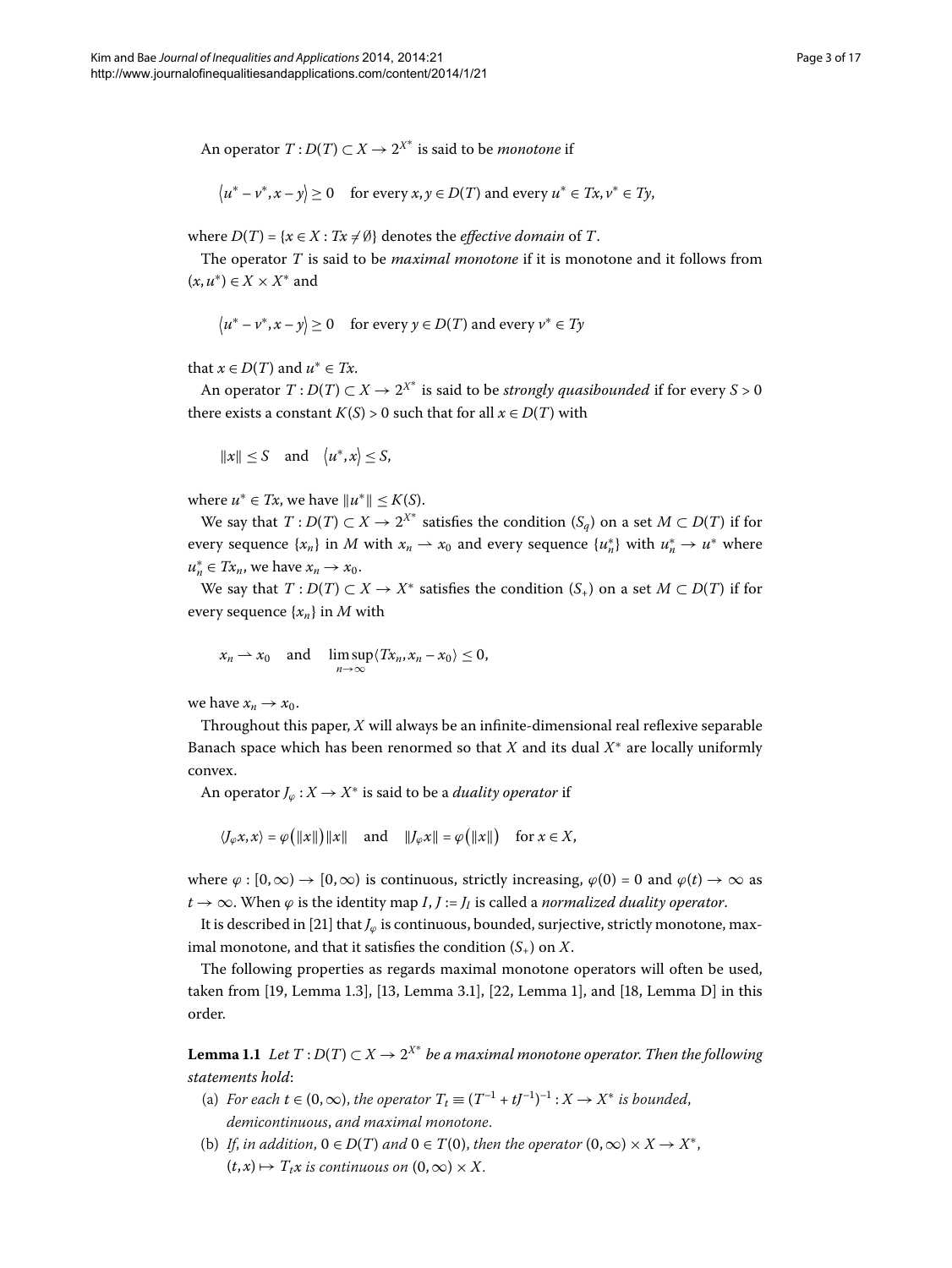An operator  $T: D(T) \subset X \to 2^{X^*}$  is said to be *monotone* if

$$
\langle u^* - v^*, x - y \rangle \ge 0 \quad \text{for every } x, y \in D(T) \text{ and every } u^* \in Tx, v^* \in Ty,
$$

where  $D(T) = \{x \in X : Tx \neq \emptyset\}$  denotes the *effective domain* of  $T$ .

The operator *T* is said to be *maximal monotone* if it is monotone and it follows from  $(x, u^*) \in X \times X^*$  and

$$
\langle u^* - v^*, x - y \rangle \ge 0 \quad \text{for every } y \in D(T) \text{ and every } v^* \in Ty
$$

that  $x \in D(T)$  and  $u^* \in Tx$ .

An operator  $T: D(T) \subset X \to 2^{X^*}$  is said to be *strongly quasibounded* if for every  $S > 0$ there exists a constant  $K(S) > 0$  such that for all  $x \in D(T)$  with

$$
||x|| \le S \quad \text{and} \quad \langle u^*, x \rangle \le S,
$$

where  $u^* \in Tx$ , we have  $||u^*|| \leq K(S)$ .

We say that  $T: D(T) \subset X \to 2^{X^*}$  satisfies the condition  $(S_q)$  on a set  $M \subset D(T)$  if for every sequence  $\{x_n\}$  in *M* with  $x_n \to x_0$  and every sequence  $\{u_n^*\}$  with  $u_n^* \to u^*$  where  $u_n^* \in Tx_n$ , we have  $x_n \to x_0$ .

We say that  $T: D(T) \subset X \to X^*$  satisfies the condition  $(S_+)$  on a set  $M \subset D(T)$  if for every sequence {*xn*} in *M* with

$$
x_n \to x_0
$$
 and  $\limsup_{n\to\infty} \langle Tx_n, x_n - x_0 \rangle \leq 0$ ,

we have  $x_n \to x_0$ .

Throughout this paper, *X* will always be an infinite-dimensional real reflexive separable Banach space which has been renormed so that *X* and its dual *X*<sup>∗</sup> are locally uniformly convex.

An operator  $J_{\varphi}: X \to X^*$  is said to be a *duality operator* if

$$
\langle J_{\varphi} x, x \rangle = \varphi \big( ||x|| \big) ||x||
$$
 and  $||J_{\varphi} x|| = \varphi \big( ||x|| \big)$  for  $x \in X$ ,

where  $\varphi$  :  $[0,\infty) \to [0,\infty)$  is continuous, strictly increasing,  $\varphi(0) = 0$  and  $\varphi(t) \to \infty$  as  $t \rightarrow \infty$ . When  $\varphi$  is the identity map *I*, *J* := *J<sub>I</sub>* is called a *normalized duality operator*.

<span id="page-2-0"></span>It is described in [21] that *J*<sub>*∅*</sub> is continuous, bounded, surjective, strictly monotone, maximal monotone, and that it satisfies the condition  $(S_+)$  on X.

The following properties as regards maximal monotone operators will often be used, taken from  $[19, \text{Lemma } 1.3], [13, \text{Lemma } 3.1], [22, \text{Lemma } 1],$  $[19, \text{Lemma } 1.3], [13, \text{Lemma } 3.1], [22, \text{Lemma } 1],$  $[19, \text{Lemma } 1.3], [13, \text{Lemma } 3.1], [22, \text{Lemma } 1],$  $[19, \text{Lemma } 1.3], [13, \text{Lemma } 3.1], [22, \text{Lemma } 1],$  $[19, \text{Lemma } 1.3], [13, \text{Lemma } 3.1], [22, \text{Lemma } 1],$  and  $[18, \text{Lemma } D]$  in this order.

**Lemma 1.1** Let  $T: D(T) \subset X \to 2^{X^*}$  be a maximal monotone operator. Then the following *statements hold*:

- (a) *For each*  $t \in (0, \infty)$ , *the operator*  $T_t \equiv (T^{-1} + tJ^{-1})^{-1} : X \to X^*$  *is bounded*, *demicontinuous*, *and maximal monotone*.
- (b) If, in addition,  $0 \in D(T)$  and  $0 \in T(0)$ , then the operator  $(0, \infty) \times X \to X^*$ ,  $(t, x) \mapsto T_t x$  *is continuous on*  $(0, \infty) \times X$ .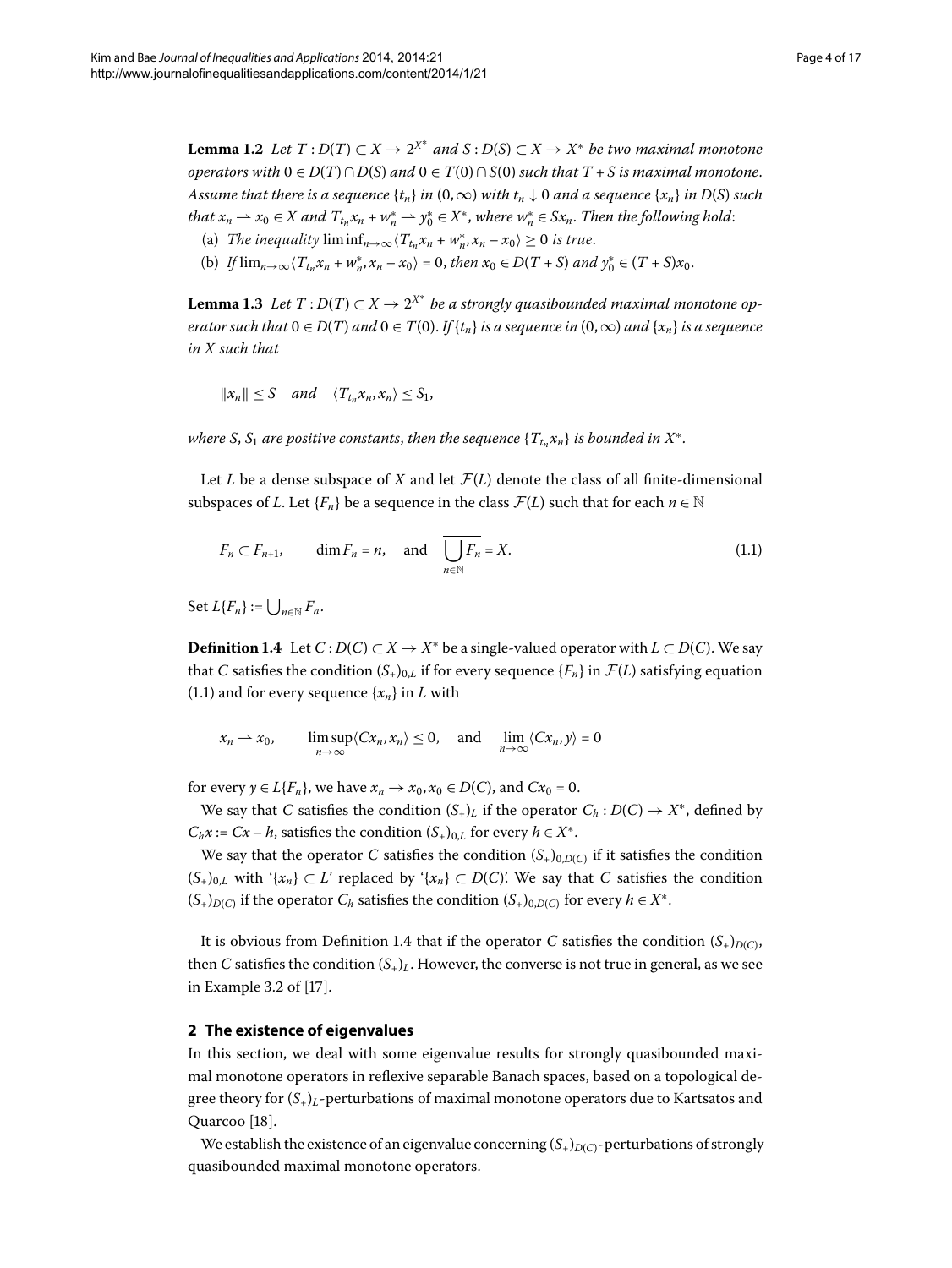<span id="page-3-4"></span><span id="page-3-3"></span>**Lemma 1.2** Let  $T: D(T) \subset X \to 2^{X^*}$  and  $S: D(S) \subset X \to X^*$  be two maximal monotone *operators with*  $0 \in D(T) \cap D(S)$  *and*  $0 \in T(0) \cap S(0)$  *such that*  $T + S$  *is maximal monotone. Assume that there is a sequence*  $\{t_n\}$  *in*  $(0, \infty)$  *with*  $t_n \downarrow 0$  *and a* sequence  $\{x_n\}$  *in*  $D(S)$  *such that*  $x_n \rightharpoonup x_0 \in X$  and  $T_{t_n} x_n + w_n^* \rightharpoonup y_0^* \in X^*$ , where  $w_n^* \in S x_n$ . Then the following hold:

- (a) *The inequality*  $\liminf_{n\to\infty} \langle T_{t_n} x_n + w_n^* x_n x_0 \rangle \ge 0$  *is true.*
- (b) *If*  $\lim_{n\to\infty} \langle T_{t_n} x_n + w_n^*, x_n x_0 \rangle = 0$ , then  $x_0 \in D(T+S)$  and  $y_0^* \in (T+S)x_0$ .

**Lemma 1.3** Let  $T: D(T) \subset X \rightarrow 2^{X^*}$  be a strongly quasibounded maximal monotone op*erator such that*  $0 \in D(T)$  *and*  $0 \in T(0)$ . *If* { $t_n$ } *is a sequence in*  $(0, \infty)$  *and* { $x_n$ } *is a sequence in X such that*

<span id="page-3-1"></span>
$$
||x_n|| \leq S \quad and \quad \langle T_{t_n} x_n, x_n \rangle \leq S_1,
$$

*where S*, *S*<sub>1</sub> *are positive constants, then the sequence*  $\{T_{t_n}x_n\}$  *is bounded in*  $X^*$ .

<span id="page-3-2"></span>Let *L* be a dense subspace of *X* and let  $\mathcal{F}(L)$  denote the class of all finite-dimensional subspaces of *L*. Let  ${F_n}$  be a sequence in the class  $\mathcal{F}(L)$  such that for each  $n \in \mathbb{N}$ 

$$
F_n \subset F_{n+1}, \qquad \dim F_n = n, \quad \text{and} \quad \overline{\bigcup_{n \in \mathbb{N}} F_n} = X. \tag{1.1}
$$

 $\operatorname{Set} L\{F_n\} := \bigcup_{n \in \mathbb{N}} F_n.$ 

**Definition 1.4** Let *C* : *D*(*C*) ⊂ *X* → *X*<sup>∗</sup> be a single-valued operator with *L* ⊂ *D*(*C*). We say that *C* satisfies the condition  $(S_+)_{0,L}$  if for every sequence  $\{F_n\}$  in  $\mathcal{F}(L)$  satisfying equation (1[.](#page-3-1)1) and for every sequence  $\{x_n\}$  in *L* with

$$
x_n \to x_0
$$
,  $\limsup_{n \to \infty} \langle Cx_n, x_n \rangle \le 0$ , and  $\lim_{n \to \infty} \langle Cx_n, y \rangle = 0$ 

for every  $y \in L\{F_n\}$ , we have  $x_n \to x_0, x_0 \in D(C)$ , and  $Cx_0 = 0$ .

We say that *C* satisfies the condition  $(S<sub>+</sub>)<sub>L</sub>$  if the operator  $C<sub>h</sub> : D(C) \rightarrow X^*$ , defined by *C<sub>h</sub>x* := *Cx* – *h*, satisfies the condition  $(S_+)_{0,L}$  for every  $h \in X^*$ .

<span id="page-3-0"></span>We say that the operator *C* satisfies the condition  $(S_{+})_{0,D(C)}$  if it satisfies the condition  $(S_+)_{0,L}$  with '{*x<sub>n</sub>*} ⊂ *L*' replaced by '{*x<sub>n</sub>*} ⊂ *D*(*C*)'. We say that *C* satisfies the condition  $(S_+)_{D(C)}$  if the operator  $C_h$  satisfies the condition  $(S_+)_{0,D(C)}$  for every  $h \in X^*$ .

It is obvious from Definition 1[.](#page-3-2)4 that if the operator *C* satisfies the condition  $(S_+)_{D(C)}$ , then *C* satisfies the condition  $(S<sub>+</sub>)<sub>L</sub>$ . However, the converse is not true in general, as we see in Example 3.2 of  $[17]$  $[17]$ .

### **2 The existence of eigenvalues**

In this section, we deal with some eigenvalue results for strongly quasibounded maximal monotone operators in reflexive separable Banach spaces, based on a topological degree theory for  $(S_+)$ <sub>L</sub>-perturbations of maximal monotone operators due to Kartsatos and Quarcoo [18].

We establish the existence of an eigenvalue concerning  $(S_+)_{D(C)}$ -perturbations of strongly quasibounded maximal monotone operators.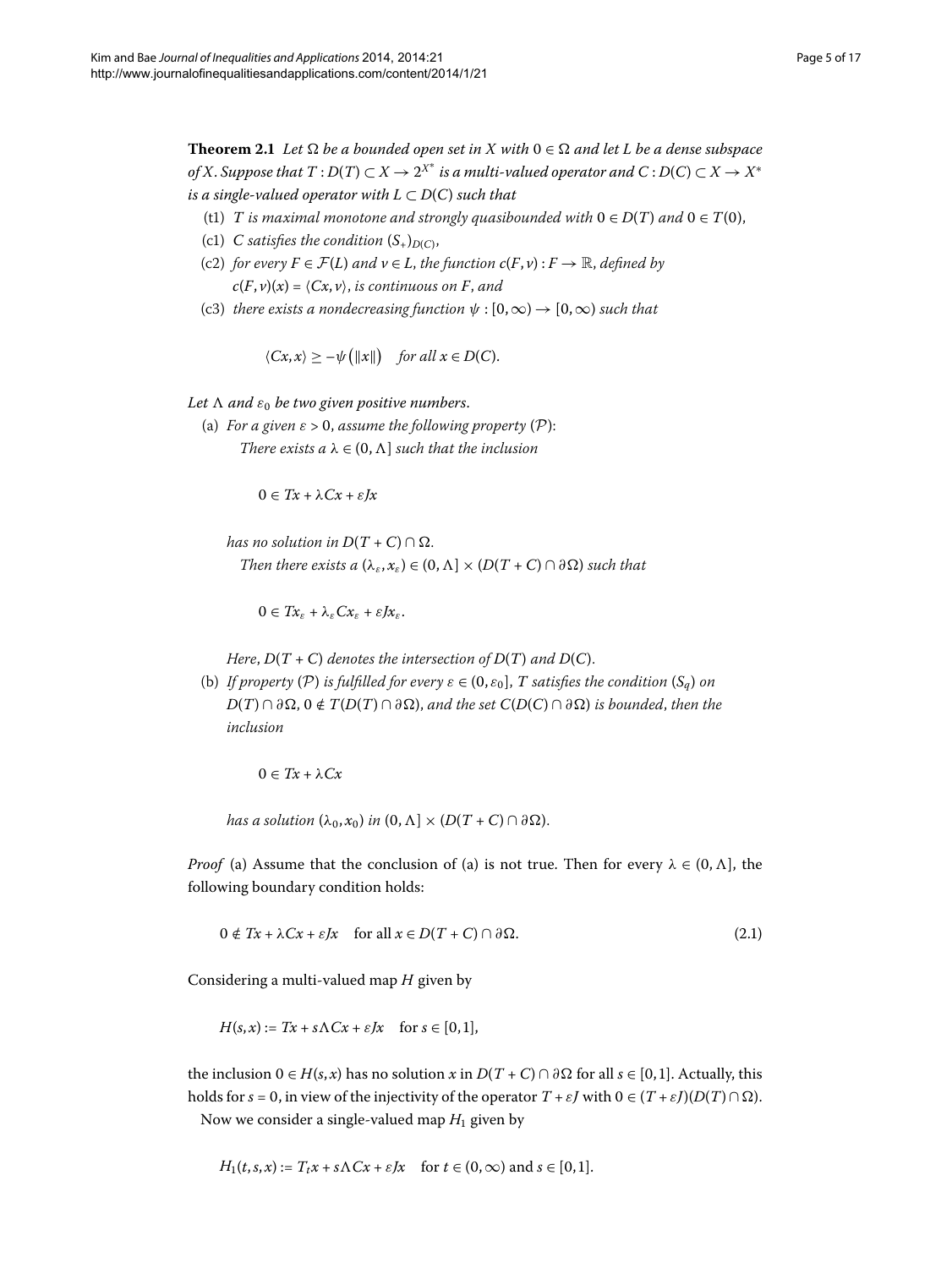<span id="page-4-1"></span>**Theorem 2.1** Let  $\Omega$  be a bounded open set in X with  $0 \in \Omega$  and let L be a dense subspace *of* X. Suppose that  $T : D(T) \subset X \to 2^{X^*}$  is a multi-valued operator and  $C : D(C) \subset X \to X^*$ *is a single-valued operator with*  $L \subset D(C)$  *such that* 

- (t1) *T* is maximal monotone and strongly quasibounded with  $0 \in D(T)$  and  $0 \in T(0)$ ,
- (c1) *C* satisfies the condition  $(S_+)_{D(C)}$ ,
- (c2) *for every*  $F \in \mathcal{F}(L)$  *and*  $v \in L$ *, the function*  $c(F, v) : F \to \mathbb{R}$ *, defined by*  $c(F, v)(x) = \langle Cx, v \rangle$ , *is continuous on F*, *and*
- (c3) *there exists a nondecreasing function*  $\psi$  :  $[0,\infty) \rightarrow [0,\infty)$  *such that*

 $\langle Cx, x \rangle \geq -\psi(\Vert x \Vert)$  *for all*  $x \in D(C)$ .

*Let and ε be two given positive numbers*.

(a) *For a given*  $\varepsilon > 0$ , *assume the following property*  $(P)$ : *There exists a*  $\lambda \in (0, \Lambda]$  *such that the inclusion* 

 $0 ∈ Tx + λCx + εJx$ 

*has no solution in*  $D(T+C) \cap \Omega$ . *Then there exists a*  $(\lambda_{\varepsilon}, x_{\varepsilon}) \in (0, \Lambda] \times (D(T + C) \cap \partial \Omega)$  *such that* 

 $0 \in Tx_{\varepsilon} + \lambda_{\varepsilon}Cx_{\varepsilon} + \varepsilon Jx_{\varepsilon}.$ 

*Here*,  $D(T + C)$  *denotes the intersection of*  $D(T)$  *and*  $D(C)$ *.* 

(b) *If property* (P) *is fulfilled for every*  $\varepsilon \in (0, \varepsilon_0]$ , *T satisfies the condition*  $(S_a)$  *on*  $D(T) \cap \partial \Omega$ ,  $0 \notin T(D(T) \cap \partial \Omega)$ , and the set  $C(D(C) \cap \partial \Omega)$  is bounded, then the *inclusion*

<span id="page-4-0"></span>
$$
0 \in Tx + \lambda Cx
$$

*has a solution*  $(\lambda_0, x_0)$  *in*  $(0, \Lambda] \times (D(T+C) \cap \partial \Omega)$ .

*Proof* (a) Assume that the conclusion of (a) is not true. Then for every  $\lambda \in (0, \Lambda]$ , the following boundary condition holds:

$$
0 \notin Tx + \lambda Cx + \varepsilon Jx \quad \text{for all } x \in D(T + C) \cap \partial \Omega. \tag{2.1}
$$

Considering a multi-valued map *H* given by

$$
H(s,x) := Tx + s\Lambda Cx + \varepsilon Jx \quad \text{for } s \in [0,1],
$$

the inclusion  $0 \in H(s, x)$  has no solution *x* in  $D(T + C) \cap \partial \Omega$  for all  $s \in [0, 1]$ . Actually, this holds for  $s = 0$ , in view of the injectivity of the operator  $T + \varepsilon J$  with  $0 \in (T + \varepsilon J)(D(T) \cap \Omega)$ .

Now we consider a single-valued map  $H_1$  given by

$$
H_1(t,s,x) := T_t x + s\Lambda C x + \varepsilon J x \quad \text{for } t \in (0,\infty) \text{ and } s \in [0,1].
$$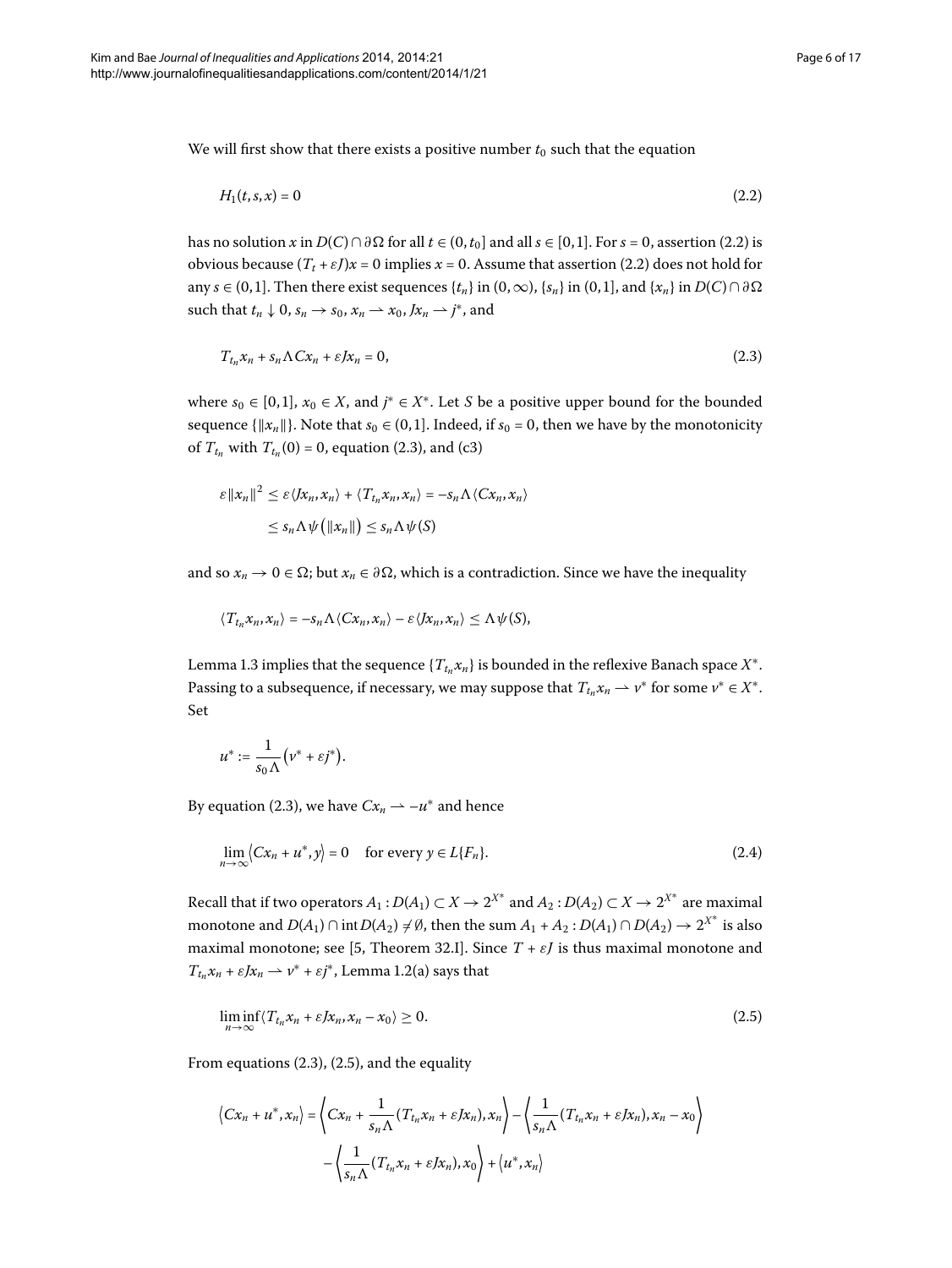We will first show that there exists a positive number  $t_0$  such that the equation

<span id="page-5-1"></span><span id="page-5-0"></span>
$$
H_1(t,s,x) = 0 \tag{2.2}
$$

has no solution *x* in  $D(C) \cap \partial \Omega$  for all  $t \in (0, t_0]$  and all  $s \in [0, 1]$ . For  $s = 0$ , assertion (2.2) is obvious because  $(T_t + \varepsilon J)x = 0$  implies  $x = 0$ . Assume that assertion (2.2) does not hold for any *s* ∈ (0, 1]. Then there exist sequences { $t_n$ } in (0, ∞), { $s_n$ } in (0, 1], and { $x_n$ } in *D*(*C*) ∩ ∂ Ω such that  $t_n \downarrow 0$ ,  $s_n \rightarrow s_0$ ,  $x_n \rightarrow x_0$ ,  $Jx_n \rightarrow j^*$ , and

$$
T_{t_n}x_n + s_n\Lambda Cx_n + \varepsilon Jx_n = 0,
$$
\n(2.3)

where  $s_0 \in [0, 1]$ ,  $x_0 \in X$ , and  $j^* \in X^*$ . Let *S* be a positive upper bound for the bounded sequence  $\{||x_n||\}$ . Note that  $s_0 \in (0,1]$ . Indeed, if  $s_0 = 0$ , then we have by the monotonicity of  $T_{t_n}$  with  $T_{t_n}(0) = 0$ , equation (2.3), and (c3)

$$
\varepsilon ||x_n||^2 \leq \varepsilon \langle x_n, x_n \rangle + \langle T_{t_n} x_n, x_n \rangle = -s_n \Lambda \langle C x_n, x_n \rangle
$$
  

$$
\leq s_n \Lambda \psi \big( ||x_n|| \big) \leq s_n \Lambda \psi(S)
$$

and so  $x_n \to 0 \in \Omega$ ; but  $x_n \in \partial \Omega$ , which is a contradiction. Since we have the inequality

$$
\langle T_{t_n} x_n, x_n \rangle = -s_n \Lambda \langle C x_n, x_n \rangle - \varepsilon \langle J x_n, x_n \rangle \leq \Lambda \psi(S),
$$

Lemma 1[.](#page-3-3)3 implies that the sequence { $T_{t_n} x_n$ } is bounded in the reflexive Banach space  $X^*$ . Passing to a subsequence, if necessary, we may suppose that  $T_{t_n} x_n \rightharpoonup v^*$  for some  $v^* \in X^*$ . Set

<span id="page-5-3"></span>
$$
u^* := \frac{1}{s_0 \Lambda} \Big( v^* + \varepsilon j^* \Big).
$$

By equation (2.3), we have  $Cx_n \rightharpoonup -u^*$  and hence

<span id="page-5-2"></span>
$$
\lim_{n \to \infty} \langle Cx_n + u^*, y \rangle = 0 \quad \text{for every } y \in L\{F_n\}.
$$
 (2.4)

Recall that if two operators  $A_1: D(A_1) \subset X \to 2^{X^*}$  and  $A_2: D(A_2) \subset X \to 2^{X^*}$  are maximal monotone and  $D(A_1) \cap \text{int } D(A_2) \neq \emptyset$ , then the sum  $A_1 + A_2 : D(A_1) \cap D(A_2) \rightarrow 2^{X^*}$  is also maximal monotone; see [5[,](#page-15-4) Theorem 32.I]. Since  $T + \varepsilon J$  is thus maximal monotone and  $T_{t_n}x_n + \varepsilon Jx_n \to \nu^* + \varepsilon j^*$ , Lemma 1[.](#page-3-4)2(a) says that

$$
\liminf_{n \to \infty} \langle T_{t_n} x_n + \varepsilon J x_n, x_n - x_0 \rangle \ge 0. \tag{2.5}
$$

From equations  $(2.3)$  $(2.3)$  $(2.3)$ ,  $(2.5)$ , and the equality

$$
\langle Cx_n + u^*, x_n \rangle = \left\langle Cx_n + \frac{1}{s_n \Lambda} (T_{t_n} x_n + \varepsilon Jx_n), x_n \right\rangle - \left\langle \frac{1}{s_n \Lambda} (T_{t_n} x_n + \varepsilon Jx_n), x_n - x_0 \right\rangle
$$

$$
- \left\langle \frac{1}{s_n \Lambda} (T_{t_n} x_n + \varepsilon Jx_n), x_0 \right\rangle + \left\langle u^*, x_n \right\rangle
$$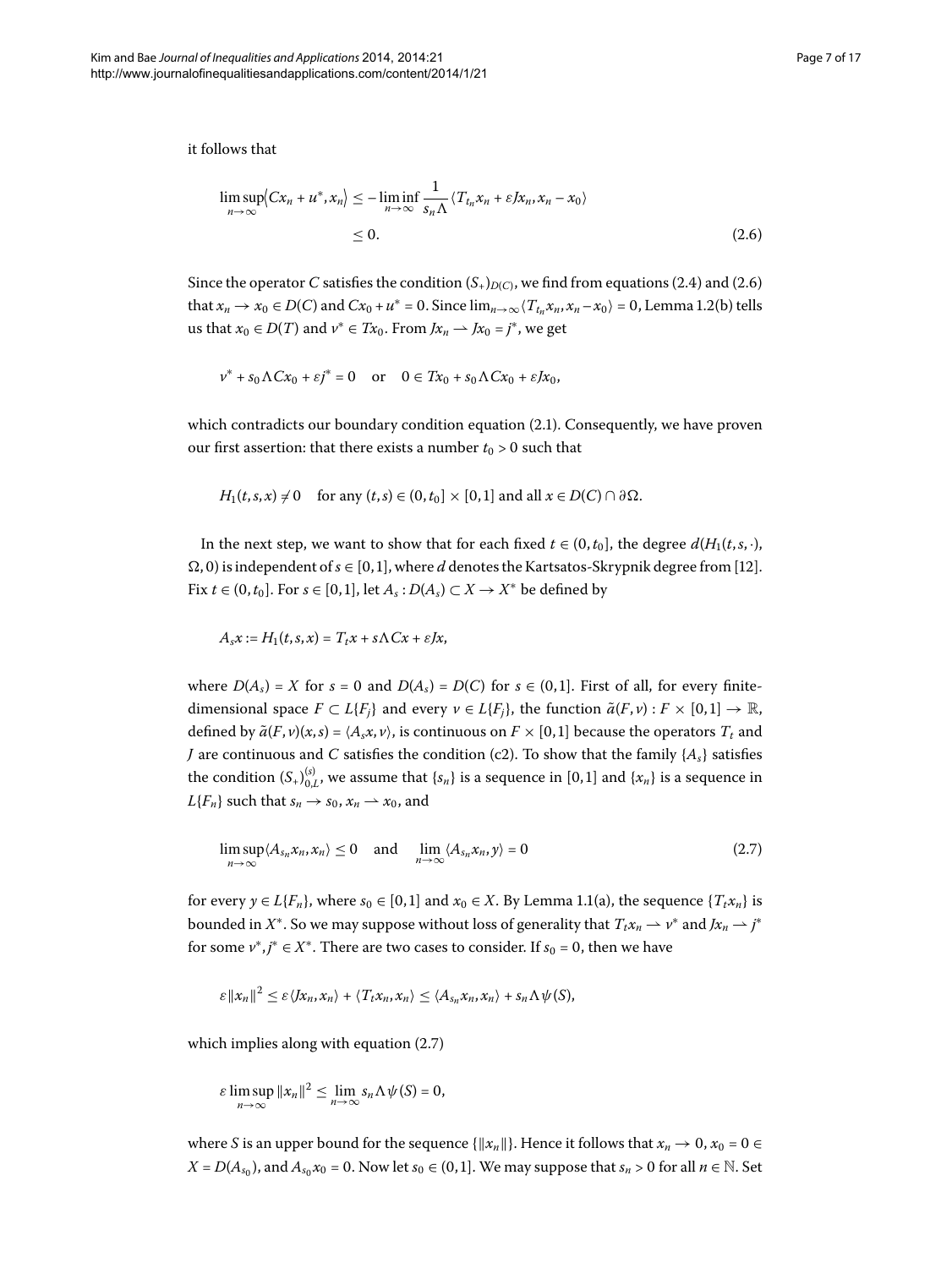<span id="page-6-0"></span>it follows that

$$
\limsup_{n \to \infty} \langle Cx_n + u^*, x_n \rangle \le -\liminf_{n \to \infty} \frac{1}{s_n \Lambda} \langle T_{t_n} x_n + \varepsilon J x_n, x_n - x_0 \rangle
$$
  
\n
$$
\le 0.
$$
\n(2.6)

Since the operator *C* satisfies the condition  $(S_+)$ <sub>*D(C)*</sub>, we find from equations (2[.](#page-5-3)4) and (2.6) that  $x_n \to x_0 \in D(C)$  and  $Cx_0 + u^* = 0$ [.](#page-3-4) Since  $\lim_{n\to\infty} \langle T_{t_n}x_n, x_n - x_0 \rangle = 0$ , Lemma 1.2(b) tells us that  $x_0 \in D(T)$  and  $v^* \in Tx_0$ . From  $Jx_n \longrightarrow Jx_0 = j^*$ , we get

$$
v^* + s_0 \Lambda C x_0 + \varepsilon j^* = 0 \quad \text{or} \quad 0 \in Tx_0 + s_0 \Lambda C x_0 + \varepsilon J x_0,
$$

which contradicts our boundary condition equation  $(2.1)$ . Consequently, we have proven our first assertion: that there exists a number  $t_0 > 0$  such that

 $H_1(t, s, x) \neq 0$  for any  $(t, s) \in (0, t_0] \times [0, 1]$  and all  $x \in D(C) \cap \partial \Omega$ .

In the next step, we want to show that for each fixed  $t \in (0, t_0]$ , the degree  $d(H_1(t, s, \cdot))$ ,  $\Omega$ , 0) is independent of  $s \in [0, 1]$  $s \in [0, 1]$ , where *d* denotes the Kartsatos-Skrypnik degree from [12]. Fix  $t \in (0, t_0]$ . For  $s \in [0, 1]$ , let  $A_s : D(A_s) \subset X \rightarrow X^*$  be defined by

<span id="page-6-1"></span>
$$
A_s x := H_1(t,s,x) = T_t x + s \Lambda C x + \varepsilon J x,
$$

where  $D(A_s) = X$  for  $s = 0$  and  $D(A_s) = D(C)$  for  $s \in (0,1]$ . First of all, for every finitedimensional space  $F \subset L\{F_i\}$  and every  $v \in L\{F_i\}$ , the function  $\tilde{a}(F, v) : F \times [0, 1] \to \mathbb{R}$ , defined by  $\tilde{a}(F, v)(x, s) = \langle A_s x, v \rangle$ , is continuous on  $F \times [0, 1]$  because the operators  $T_t$  and *J* are continuous and *C* satisfies the condition (c2). To show that the family  $\{A_s\}$  satisfies the condition  $(S_+)_{0,L}^{(s)}$ , we assume that  $\{s_n\}$  is a sequence in  $[0,1]$  and  $\{x_n\}$  is a sequence in  $L{F_n}$  such that  $s_n \to s_0$ ,  $x_n \to x_0$ , and

$$
\limsup_{n \to \infty} \langle A_{s_n} x_n, x_n \rangle \le 0 \quad \text{and} \quad \lim_{n \to \infty} \langle A_{s_n} x_n, y \rangle = 0 \tag{2.7}
$$

for every  $y \in L\{F_n\}$ , where  $s_0 \in [0,1]$  and  $x_0 \in X$ . By Lemma 1.1(a), the sequence  $\{T_t x_n\}$  is bounded in  $X^*.$  So we may suppose without loss of generality that  $T_t x_n \rightharpoonup \nu^*$  and  $Jx_n \rightharpoonup j^*$ for some  $v^*, j^* \in X^*$ . There are two cases to consider. If  $s_0 = 0$ , then we have

$$
\varepsilon ||x_n||^2 \leq \varepsilon \langle Jx_n, x_n \rangle + \langle T_t x_n, x_n \rangle \leq \langle A_{s_n} x_n, x_n \rangle + s_n \Lambda \psi(S),
$$

which implies along with equation  $(2.7)$ 

$$
\varepsilon \limsup_{n\to\infty} ||x_n||^2 \leq \lim_{n\to\infty} s_n \Lambda \psi(S) = 0,
$$

where *S* is an upper bound for the sequence  $\{||x_n||\}$ . Hence it follows that  $x_n \to 0$ ,  $x_0 = 0 \in$ *X* =  $D(A_{s_0})$ , and  $A_{s_0}x_0$  = 0. Now let  $s_0 \in (0,1]$ . We may suppose that  $s_n > 0$  for all  $n \in \mathbb{N}$ . Set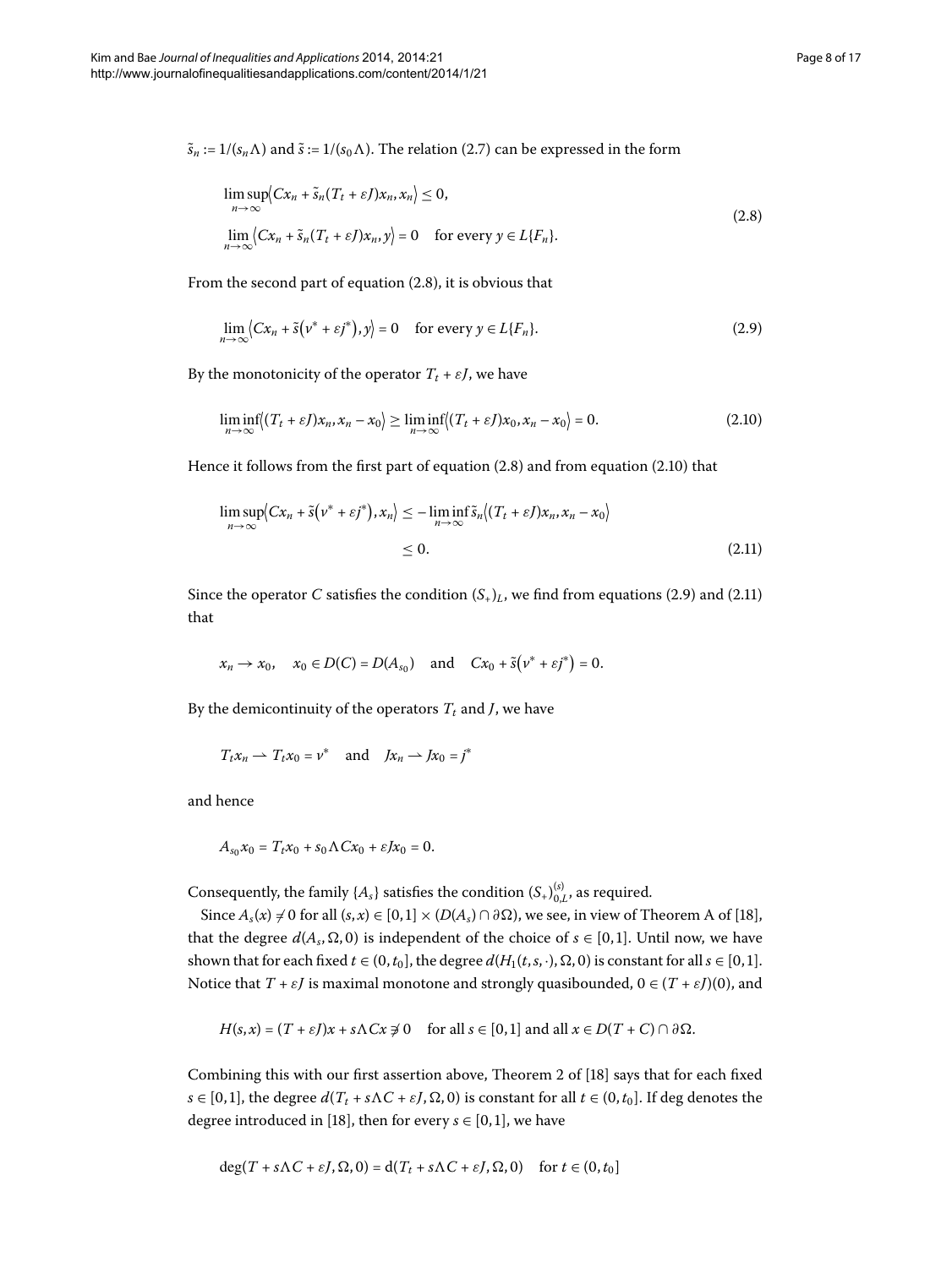$\tilde{s}_n := 1/(s_n \Lambda)$  and  $\tilde{s} := 1/(s_0 \Lambda)$ [.](#page-6-1) The relation (2.7) can be expressed in the form

<span id="page-7-2"></span><span id="page-7-0"></span>
$$
\limsup_{n \to \infty} \langle Cx_n + \tilde{s}_n(T_t + \varepsilon I)x_n, x_n \rangle \le 0,
$$
\n
$$
\lim_{n \to \infty} \langle Cx_n + \tilde{s}_n(T_t + \varepsilon I)x_n, y \rangle = 0 \quad \text{for every } y \in L\{F_n\}.
$$
\n(2.8)

From the second part of equation  $(2.8)$  $(2.8)$  $(2.8)$ , it is obvious that

<span id="page-7-1"></span>
$$
\lim_{n \to \infty} \langle Cx_n + \tilde{s}(v^* + \varepsilon j^*), y \rangle = 0 \quad \text{for every } y \in L\{F_n\}.
$$
 (2.9)

<span id="page-7-3"></span>By the monotonicity of the operator  $T_t + \varepsilon J$ , we have

$$
\liminf_{n \to \infty} \left( (T_t + \varepsilon J) x_n, x_n - x_0 \right) \ge \liminf_{n \to \infty} \left( (T_t + \varepsilon J) x_0, x_n - x_0 \right) = 0. \tag{2.10}
$$

Hence it follows from the first part of equation  $(2.8)$  and from equation  $(2.10)$  that

$$
\limsup_{n \to \infty} \langle Cx_n + \tilde{s} \left( v^* + \varepsilon j^* \right), x_n \rangle \le -\liminf_{n \to \infty} \tilde{s}_n \langle (T_t + \varepsilon J) x_n, x_n - x_0 \rangle
$$
  
\n
$$
\le 0. \tag{2.11}
$$

Since the operator *C* satisfies the condition  $(S<sub>+</sub>)<sub>L</sub>$ , we find from equations (2[.](#page-7-3)9) and (2.11) that

$$
x_n \to x_0
$$
,  $x_0 \in D(C) = D(A_{s_0})$  and  $Cx_0 + \tilde{s}(v^* + \varepsilon j^*) = 0$ .

By the demicontinuity of the operators  $T_t$  and *J*, we have

$$
T_t x_n \rightharpoonup T_t x_0 = v^*
$$
 and  $Jx_n \rightharpoonup Jx_0 = j^*$ 

and hence

$$
A_{s_0}x_0 = T_t x_0 + s_0 \Lambda C x_0 + \varepsilon J x_0 = 0.
$$

Consequently, the family  $\{A_s\}$  satisfies the condition  $(S_+)_{0,L}^{(s)}$ , as required.

Since  $A_s(x) \neq 0$  for all  $(s, x) \in [0, 1] \times (D(A_s) \cap \partial \Omega)$  $(s, x) \in [0, 1] \times (D(A_s) \cap \partial \Omega)$  $(s, x) \in [0, 1] \times (D(A_s) \cap \partial \Omega)$ , we see, in view of Theorem A of [18], that the degree  $d(A_s, \Omega, 0)$  is independent of the choice of  $s \in [0, 1]$ . Until now, we have shown that for each fixed  $t \in (0, t_0]$ , the degree  $d(H_1(t, s, \cdot), \Omega, 0)$  is constant for all  $s \in [0, 1]$ . Notice that  $T + \varepsilon J$  is maximal monotone and strongly quasibounded,  $0 \in (T + \varepsilon J)(0)$ , and

$$
H(s,x)=(T+\varepsilon I)x+s\Lambda Cx\neq 0 \text{ for all } s\in [0,1] \text{ and all } x\in D(T+C)\cap \partial \Omega.
$$

Combining this with our first assertion above, Theorem 2 of  $[18]$  $[18]$  says that for each fixed *s* ∈ [0,1], the degree  $d(T_t + s\Lambda C + \varepsilon J, \Omega, 0)$  is constant for all  $t \in (0, t_0]$ . If deg denotes the degree introduced in [18[\]](#page-16-6), then for every  $s \in [0, 1]$ , we have

$$
\deg(T + s\Lambda C + \varepsilon J, \Omega, 0) = d(T_t + s\Lambda C + \varepsilon J, \Omega, 0) \quad \text{for } t \in (0, t_0]
$$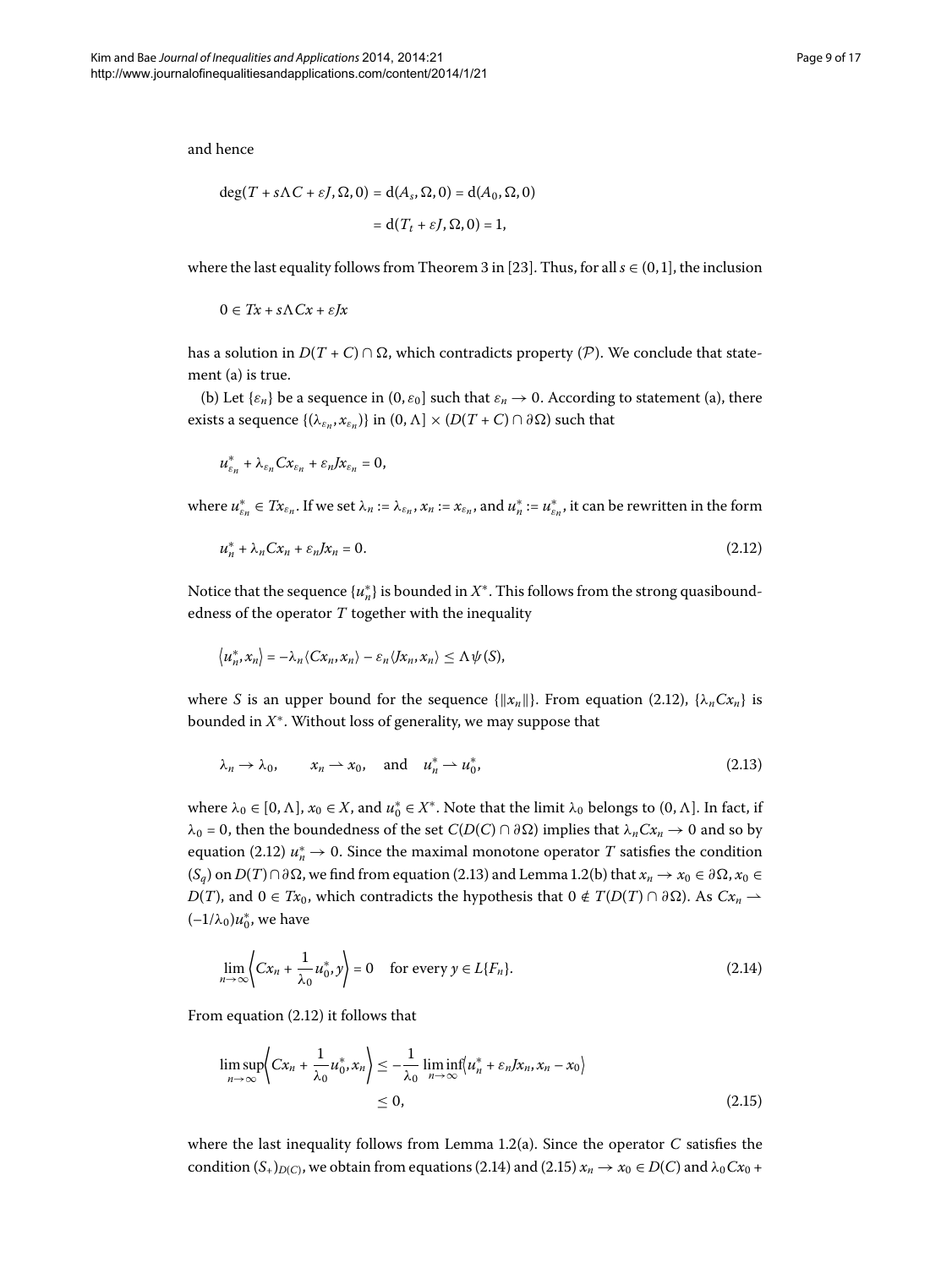and hence

$$
\deg(T + s\Lambda C + \varepsilon J, \Omega, 0) = d(A_s, \Omega, 0) = d(A_0, \Omega, 0)
$$

$$
= d(T_t + \varepsilon J, \Omega, 0) = 1,
$$

where the last equality follows from Theorem 3 in [23[\]](#page-16-11). Thus, for all  $s \in (0, 1]$ , the inclusion

$$
0 \in Tx + s\Lambda Cx + \varepsilon Jx
$$

has a solution in  $D(T + C) \cap \Omega$ , which contradicts property (P). We conclude that statement (a) is true.

(b) Let  $\{\varepsilon_n\}$  be a sequence in  $(0, \varepsilon_0]$  such that  $\varepsilon_n \to 0$ . According to statement (a), there exists a sequence  $\{(\lambda_{\varepsilon_n}, x_{\varepsilon_n})\}$  in  $(0, \Lambda] \times (D(T+C) \cap \partial \Omega)$  such that

<span id="page-8-0"></span>
$$
u_{\varepsilon_n}^* + \lambda_{\varepsilon_n} C x_{\varepsilon_n} + \varepsilon_n J x_{\varepsilon_n} = 0,
$$

where  $u_{\varepsilon_n}^*\in Tx_{\varepsilon_n}.$  If we set  $\lambda_n:=\lambda_{\varepsilon_n},x_n:=x_{\varepsilon_n},$  and  $u_n^*:=u_{\varepsilon_n}^*,$  it can be rewritten in the form

$$
u_n^* + \lambda_n C x_n + \varepsilon_n J x_n = 0. \tag{2.12}
$$

Notice that the sequence  $\{u_n^*\}$  is bounded in  $X^*$ . This follows from the strong quasiboundedness of the operator *T* together with the inequality

<span id="page-8-1"></span>
$$
\langle u_n^*, x_n \rangle = -\lambda_n \langle Cx_n, x_n \rangle - \varepsilon_n \langle Jx_n, x_n \rangle \leq \Lambda \psi(S),
$$

where *S* is an upper bound for the sequence  $\{||x_n||\}$ . From equation (2.12),  $\{\lambda_n C x_n\}$  is bounded in *X*∗. Without loss of generality, we may suppose that

<span id="page-8-2"></span>
$$
\lambda_n \to \lambda_0, \qquad x_n \to x_0, \quad \text{and} \quad u_n^* \to u_0^*, \tag{2.13}
$$

where  $\lambda_0 \in [0, \Lambda]$ ,  $x_0 \in X$ , and  $u_0^* \in X^*$ . Note that the limit  $\lambda_0$  belongs to  $(0, \Lambda]$ . In fact, if  $λ_0 = 0$ , then the boundedness of the set *C*(*D*(*C*) ∩  $∂Ω$ ) implies that  $λ_n C x_n → 0$  and so by equation (2.12)  $u_n^* \to 0$ . Since the maximal monotone operator  $T$  satisfies the condition  $(S_q)$  on  $D(T) \cap \partial \Omega$ , we find from equation (2.13) and Lemma 1.2(b) that  $x_n \to x_0 \in \partial \Omega$ ,  $x_0 \in \partial \Omega$ *D*(*T*), and 0 ∈ *Tx*<sub>0</sub>, which contradicts the hypothesis that 0 ∉ *T*(*D*(*T*) ∩  $\partial \Omega$ ). As *Cx<sub>n</sub>* →  $(-1/\lambda_0)u_0^*$ , we have

<span id="page-8-3"></span>
$$
\lim_{n \to \infty} \left\langle Cx_n + \frac{1}{\lambda_0} u_0^*, y \right\rangle = 0 \quad \text{for every } y \in L\{F_n\}. \tag{2.14}
$$

From equation  $(2.12)$  it follows that

$$
\limsup_{n \to \infty} \left\{ Cx_n + \frac{1}{\lambda_0} u_0^*, x_n \right\} \le -\frac{1}{\lambda_0} \liminf_{n \to \infty} \left\{ u_n^* + \varepsilon_n J x_n, x_n - x_0 \right\} \le 0,
$$
\n(2.15)

where the last inequality follows from Lemma 1.2(a). Since the operator  $C$  satisfies the condition  $(S_+)_{D(C)}$ , we obtain from equations (2.14) and (2.15)  $x_n \to x_0 \in D(C)$  and  $\lambda_0 C x_0 +$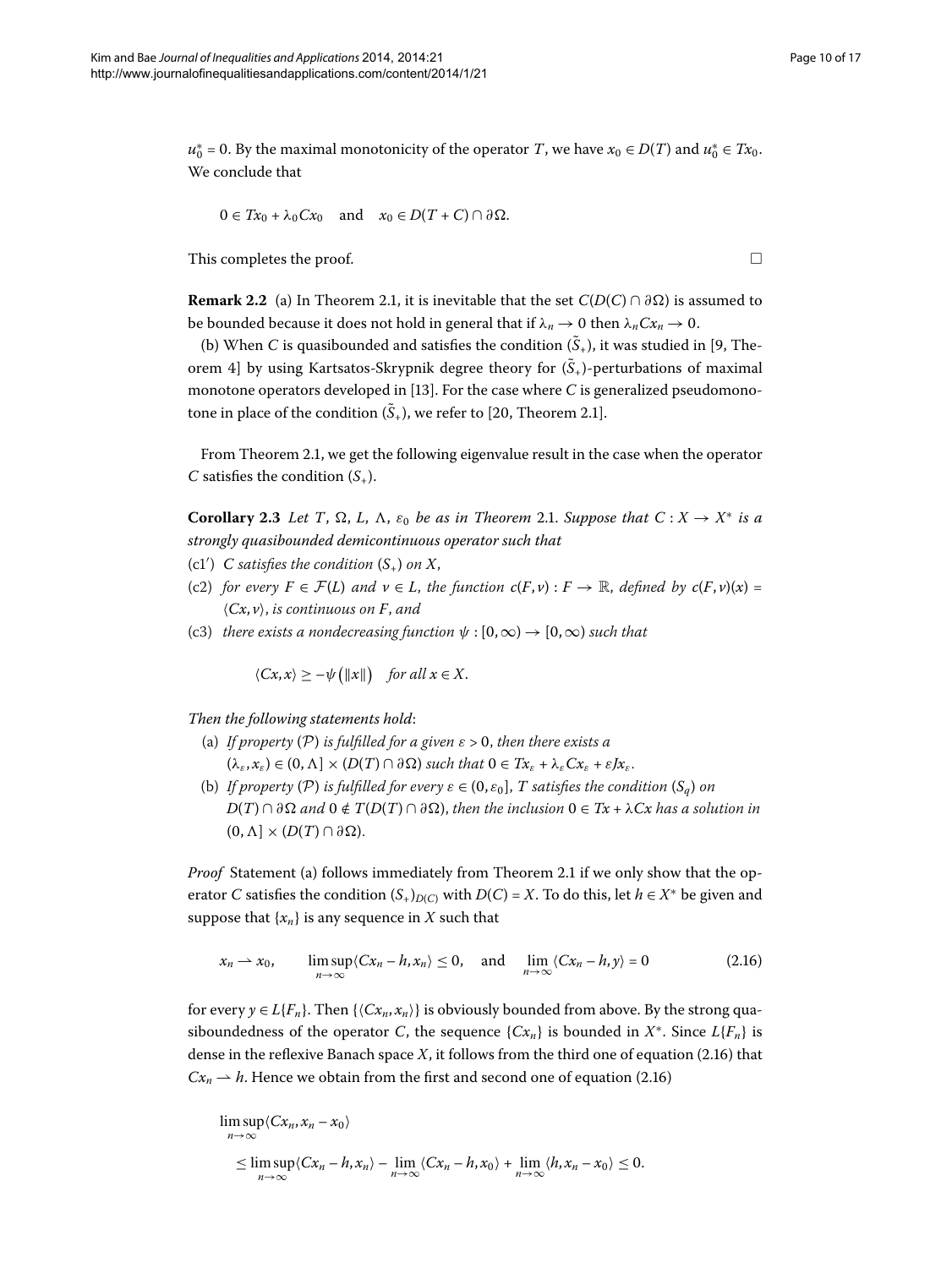$u_0^* = 0$ . By the maximal monotonicity of the operator *T*, we have  $x_0 \in D(T)$  and  $u_0^* \in Tx_0$ . We conclude that

$$
0 \in Tx_0 + \lambda_0 C x_0 \quad \text{and} \quad x_0 \in D(T+C) \cap \partial \Omega.
$$

This completes the proof.  $\Box$ 

**Remark 2.2** (a) In Theorem 2.1, it is inevitable that the set  $C(D(C) \cap \partial \Omega)$  is assumed to be bounded because it does not hold in general that if  $\lambda_n \to 0$  then  $\lambda_n C x_n \to 0$ .

<span id="page-9-1"></span>(b) When *C* is quasibounded and satisfies the condition  $(\tilde{S}_+)$ [,](#page-15-9) it was studied in [9, Theorem 4] by using Kartsatos-Skrypnik degree theory for  $(\tilde{S}_+)$ -perturbations of maximal monotone operators developed in  $[13]$  $[13]$ . For the case where *C* is generalized pseudomonotone in place of the condition  $(\tilde{S}_+)$ , we refer to [20, Theorem 2.1].

From Theorem 2.1, we get the following eigenvalue result in the case when the operator *C* satisfies the condition  $(S_+)$ .

**Corollary 2[.](#page-4-1)3** Let T,  $\Omega$ , L,  $\Lambda$ ,  $\varepsilon_0$  be as in Theorem 2.1. Suppose that  $C: X \to X^*$  is a *strongly quasibounded demicontinuous operator such that*

- (c1')  $C$  *satisfies the condition*  $(S_+)$  *on*  $X$ *,*
- (c) *for every*  $F \in \mathcal{F}(L)$  *and*  $v \in L$ , *the function*  $c(F, v) : F \to \mathbb{R}$ , *defined by*  $c(F, v)(x) =$  $\langle Cx, v \rangle$ , *is continuous on F*, *and*
- (c3) *there exists a nondecreasing function*  $\psi$  :  $[0,\infty) \rightarrow [0,\infty)$  *such that*

<span id="page-9-0"></span> $\langle Cx, x \rangle \geq -\psi(|x||)$  *for all*  $x \in X$ .

*Then the following statements hold*:

- (a) *If property* (P) *is fulfilled for a given*  $\varepsilon > 0$ *, then there exists a*  $(\lambda_{\varepsilon}, x_{\varepsilon}) \in (0, \Lambda] \times (D(T) \cap \partial \Omega)$  such that  $0 \in Tx_{\varepsilon} + \lambda_{\varepsilon} C x_{\varepsilon} + \varepsilon J x_{\varepsilon}$ .
- (b) *If property* (P) *is fulfilled for every*  $\varepsilon \in (0, \varepsilon_0]$ , *T satisfies the condition*  $(S_a)$  *on*  $D(T) \cap \partial \Omega$  and  $0 \notin T(D(T) \cap \partial \Omega)$ , then the inclusion  $0 \in Tx + \lambda Cx$  has a solution in  $(0, \Lambda] \times (D(T) \cap \partial \Omega).$

*Proof* Statement (a) follows immediately from Theorem 2[.](#page-4-1)1 if we only show that the operator *C* satisfies the condition  $(S_+)_{D(C)}$  with  $D(C) = X$ . To do this, let  $h \in X^*$  be given and suppose that  $\{x_n\}$  is any sequence in *X* such that

$$
x_n \rightharpoonup x_0, \qquad \limsup_{n \to \infty} \langle Cx_n - h, x_n \rangle \le 0, \quad \text{and} \quad \lim_{n \to \infty} \langle Cx_n - h, y \rangle = 0 \tag{2.16}
$$

for every  $\gamma \in L\{F_n\}$ . Then  $\{\langle Cx_n, x_n\rangle\}$  is obviously bounded from above. By the strong quasiboundedness of the operator *C*, the sequence  $\{Cx_n\}$  is bounded in  $X^*$ . Since  $L\{F_n\}$  is dense in the reflexive Banach space  $X$ , it follows from the third one of equation (2.16) that  $Cx_n \rightharpoonup h$ . Hence we obtain from the first and second one of equation (2.16)

$$
\limsup_{n \to \infty} \langle Cx_n, x_n - x_0 \rangle
$$
  
\n
$$
\leq \limsup_{n \to \infty} \langle Cx_n - h, x_n \rangle - \lim_{n \to \infty} \langle Cx_n - h, x_0 \rangle + \lim_{n \to \infty} \langle h, x_n - x_0 \rangle \leq 0.
$$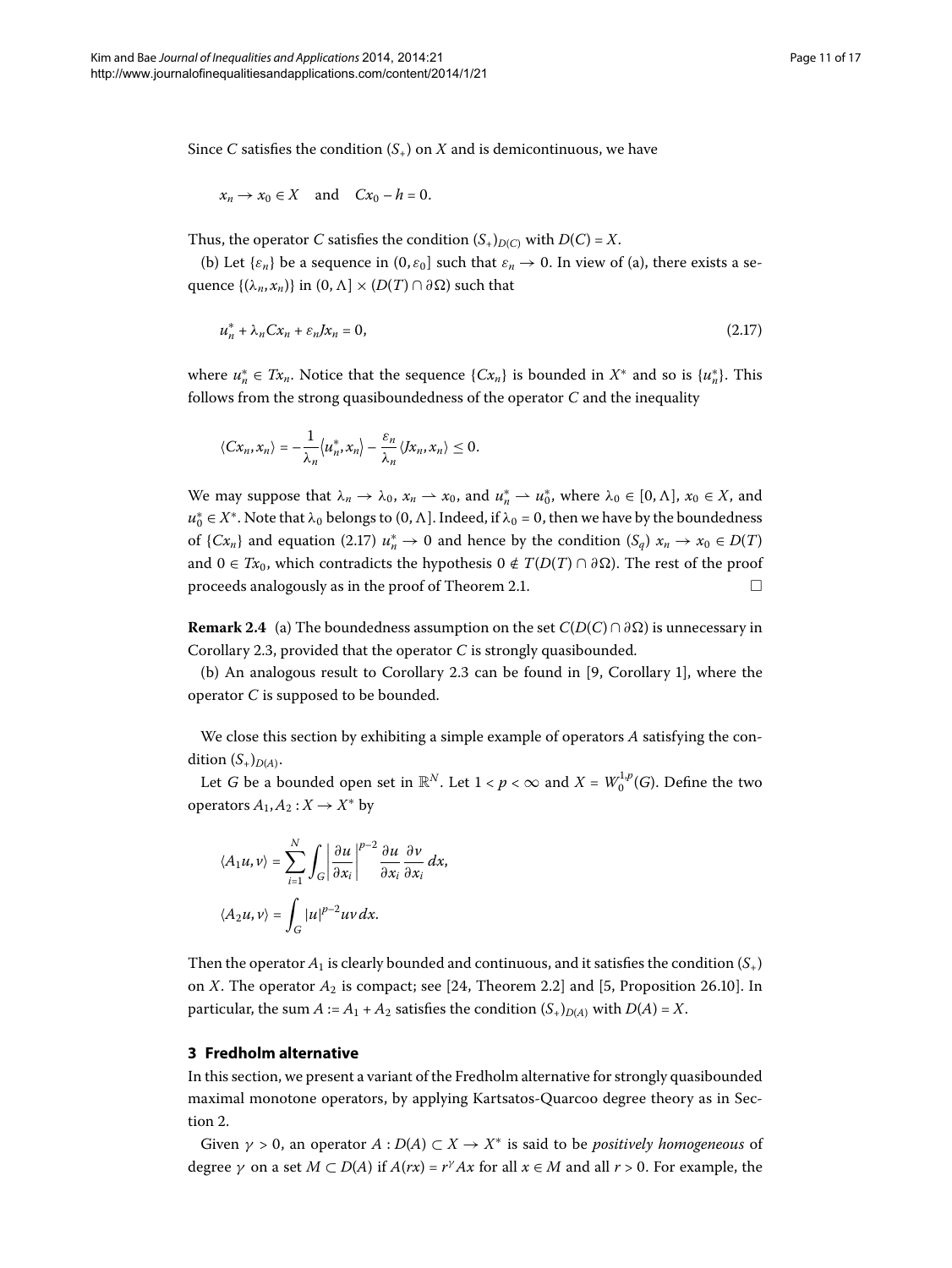Since *C* satisfies the condition  $(S_+)$  on *X* and is demicontinuous, we have

<span id="page-10-1"></span>
$$
x_n \to x_0 \in X \quad \text{and} \quad Cx_0 - h = 0.
$$

Thus, the operator *C* satisfies the condition  $(S_+)_{D(C)}$  with  $D(C) = X$ .

(b) Let  $\{\varepsilon_n\}$  be a sequence in  $(0, \varepsilon_0]$  such that  $\varepsilon_n \to 0$ . In view of (a), there exists a se- $\{(\lambda_n, x_n)\}$  in  $(0, \Lambda] \times (D(T) \cap \partial \Omega)$  such that

$$
u_n^* + \lambda_n C x_n + \varepsilon_n J x_n = 0, \tag{2.17}
$$

where  $u_n^* \in Tx_n$ . Notice that the sequence  $\{Cx_n\}$  is bounded in  $X^*$  and so is  $\{u_n^*\}$ . This follows from the strong quasiboundedness of the operator *C* and the inequality

$$
\langle Cx_n, x_n \rangle = -\frac{1}{\lambda_n} \langle u_n^*, x_n \rangle - \frac{\varepsilon_n}{\lambda_n} \langle Jx_n, x_n \rangle \leq 0.
$$

We may suppose that  $\lambda_n \to \lambda_0$ ,  $x_n \to x_0$ , and  $u_n^* \to u_0^*$ , where  $\lambda_0 \in [0, \Lambda]$ ,  $x_0 \in X$ , and  $u_0^* \in X^*$ . Note that  $\lambda_0$  belongs to  $(0, \Lambda]$ . Indeed, if  $\lambda_0 = 0$ , then we have by the boundedness of  $\{Cx_n\}$  and equation (2.17)  $u_n^* \to 0$  and hence by the condition  $(S_q)$   $x_n \to x_0 \in D(T)$ and 0 ∈ *Tx*<sub>0</sub>, which contradicts the hypothesis 0 ∉ *T*(*D*(*T*) ∩  $\partial \Omega$ ). The rest of the proof proceeds analogously as in the proof of Theorem 2.1.  $\Box$ 

**Remark 2.4** (a) The boundedness assumption on the set  $C(D(C) \cap \partial \Omega)$  is unnecessary in Corollary 2.3, provided that the operator *C* is strongly quasibounded.

(b) An analogous result to Corollary 2[.](#page-9-1)3 can be found in  $[9,$  Corollary 1], where the operator *C* is supposed to be bounded.

We close this section by exhibiting a simple example of operators *A* satisfying the condition  $(S_+)_{D(A)}$ .

Let *G* be a bounded open set in  $\mathbb{R}^N$ . Let  $1 < p < \infty$  and  $X = W_0^{1,p}(G)$ . Define the two operators  $A_1, A_2: X \to X^*$  by

$$
\langle A_1 u, v \rangle = \sum_{i=1}^N \int_G \left| \frac{\partial u}{\partial x_i} \right|^{p-2} \frac{\partial u}{\partial x_i} \frac{\partial v}{\partial x_i} dx,
$$
  

$$
\langle A_2 u, v \rangle = \int_G |u|^{p-2} uv \, dx.
$$

<span id="page-10-0"></span>Then the operator  $A_1$  is clearly bounded and continuous, and it satisfies the condition  $(S_+)$ on *X*. The operator  $A_2$  is compact; see [24[,](#page-15-4) Theorem 2.2] and [5, Proposition 26.10]. In particular, the sum  $A := A_1 + A_2$  satisfies the condition  $(S_+)_{D(A)}$  with  $D(A) = X$ .

#### **3 Fredholm alternative**

In this section, we present a variant of the Fredholm alternative for strongly quasibounded maximal monotone operators, by applying Kartsatos-Quarcoo degree theory as in Section 2.

Given  $\gamma > 0$ , an operator  $A : D(A) \subset X \to X^*$  is said to be *positively homogeneous* of degree  $\gamma$  on a set  $M \subset D(A)$  if  $A(rx) = r^{\gamma}Ax$  for all  $x \in M$  and all  $r > 0$ . For example, the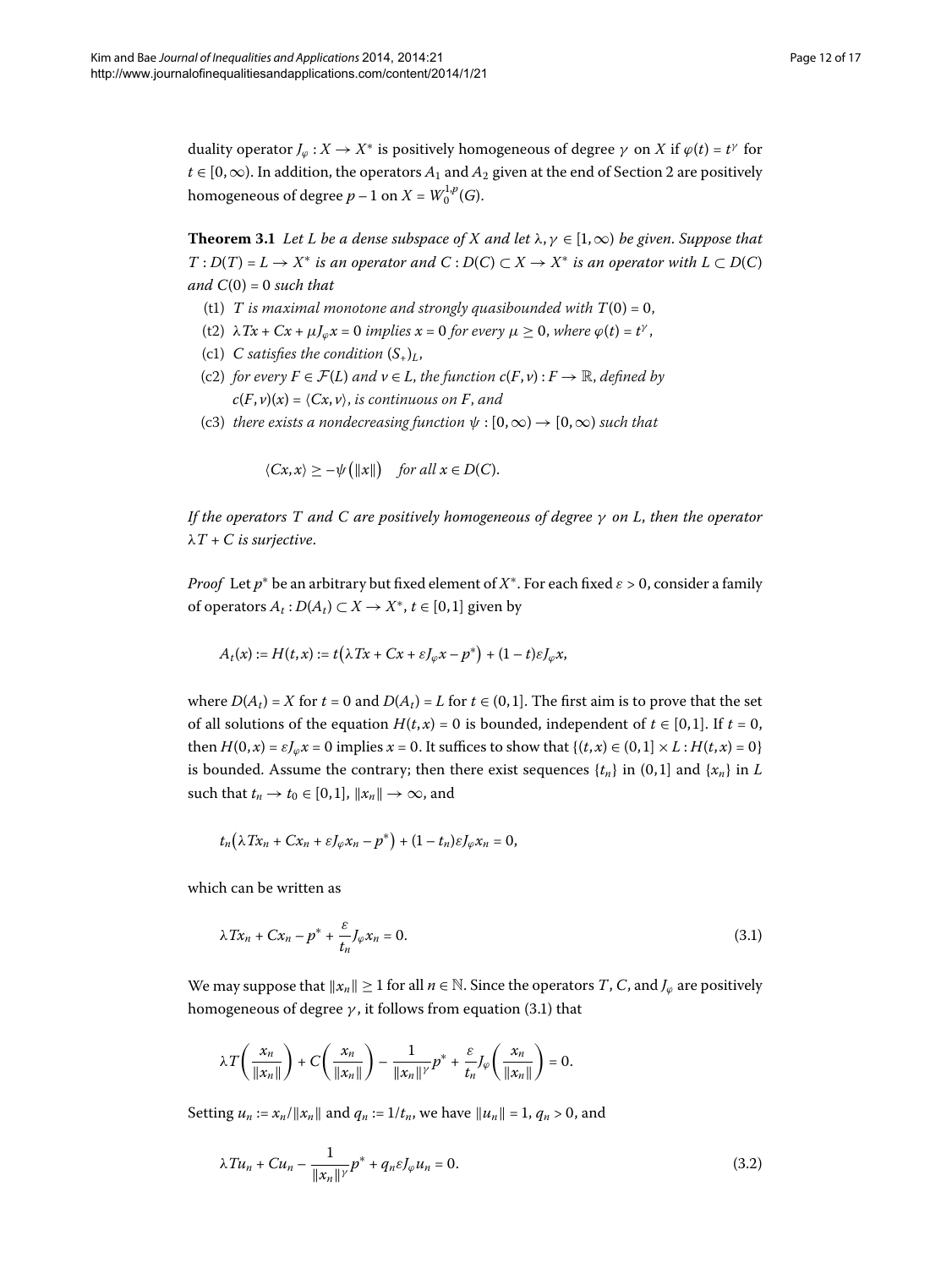<span id="page-11-2"></span>duality operator  $J_{\varphi}: X \to X^*$  is positively homogeneous of degree  $\gamma$  on  $X$  if  $\varphi(t) = t^{\gamma}$  for  $t \in [0,\infty)$ . In addition, the operators  $A_1$  and  $A_2$  given at the end of Section 2 are positively homogeneous of degree  $p-1$  on  $X = W_0^{1,p}(G)$ .

**Theorem 3.1** Let L be a dense subspace of X and let  $\lambda, \gamma \in [1, \infty)$  be given. Suppose that *T* : *D*(*T*) = *L* → *X*<sup>\*</sup> *is an operator and*  $C$  : *D*(*C*) ⊂ *X* → *X*<sup>\*</sup> *is an operator with L* ⊂ *D*(*C*) *and*  $C(0) = 0$  *such that* 

- (t1) *T* is maximal monotone and strongly quasibounded with  $T(0) = 0$ ,
- (t2)  $\lambda Tx + Cx + \mu J_{\varphi}x = 0$  implies  $x = 0$  for every  $\mu \geq 0$ , where  $\varphi(t) = t^{\gamma}$ ,
- (c1) *C* satisfies the condition  $(S_+)_{L}$ ,
- (c2) *for every*  $F \in \mathcal{F}(L)$  *and*  $v \in L$ *, the function*  $c(F, v) : F \to \mathbb{R}$ *, defined by*  $c(F, v)(x) = \langle Cx, v \rangle$ , *is continuous on F*, *and*
- (c3) *there exists a nondecreasing function*  $\psi$  :  $[0,\infty) \rightarrow [0,\infty)$  *such that*

$$
\langle Cx, x \rangle \geq -\psi\big(\|x\|\big) \quad \text{for all } x \in D(C).
$$

*If the operators T and C are positively homogeneous of degree γ on L*, *then the operator λT* + *C is surjective*.

*Proof* Let  $p^*$  be an arbitrary but fixed element of  $X^*$ . For each fixed  $\varepsilon > 0$ , consider a family of operators  $A_t$ :  $D(A_t) \subset X \rightarrow X^*$ ,  $t \in [0,1]$  given by

$$
A_t(x) := H(t, x) := t\big(\lambda Tx + Cx + \varepsilon J_\varphi x - p^*\big) + (1 - t)\varepsilon J_\varphi x,
$$

where  $D(A_t) = X$  for  $t = 0$  and  $D(A_t) = L$  for  $t \in (0,1]$ . The first aim is to prove that the set of all solutions of the equation  $H(t, x) = 0$  is bounded, independent of  $t \in [0, 1]$ . If  $t = 0$ , then  $H(0, x) = \varepsilon J_\omega x = 0$  implies  $x = 0$ . It suffices to show that  $\{(t, x) \in (0, 1] \times L : H(t, x) = 0\}$ is bounded. Assume the contrary; then there exist sequences  $\{t_n\}$  in  $(0,1]$  and  $\{x_n\}$  in *L* such that  $t_n \to t_0 \in [0,1]$ ,  $||x_n|| \to \infty$ , and

<span id="page-11-0"></span>
$$
t_n\big(\lambda Tx_n+Cx_n+\varepsilon J_\varphi x_n-p^*\big)+(1-t_n)\varepsilon J_\varphi x_n=0,
$$

which can be written as

$$
\lambda Tx_n + Cx_n - p^* + \frac{\varepsilon}{t_n} J_\varphi x_n = 0. \tag{3.1}
$$

We may suppose that  $||x_n|| \geq 1$  for all  $n \in \mathbb{N}$ . Since the operators *T*, *C*, and  $J_\varphi$  are positively homogeneous of degree  $\gamma$ , it follows from equation (3.1) that

<span id="page-11-1"></span>
$$
\lambda T\left(\frac{x_n}{\|x_n\|}\right) + C\left(\frac{x_n}{\|x_n\|}\right) - \frac{1}{\|x_n\|} p^* + \frac{\varepsilon}{t_n} J_\varphi\left(\frac{x_n}{\|x_n\|}\right) = 0.
$$

Setting  $u_n := x_n / ||x_n||$  and  $q_n := 1/t_n$ , we have  $||u_n|| = 1$ ,  $q_n > 0$ , and

$$
\lambda T u_n + C u_n - \frac{1}{\|x_n\|^\gamma} p^* + q_n \varepsilon J_\varphi u_n = 0.
$$
 (3.2)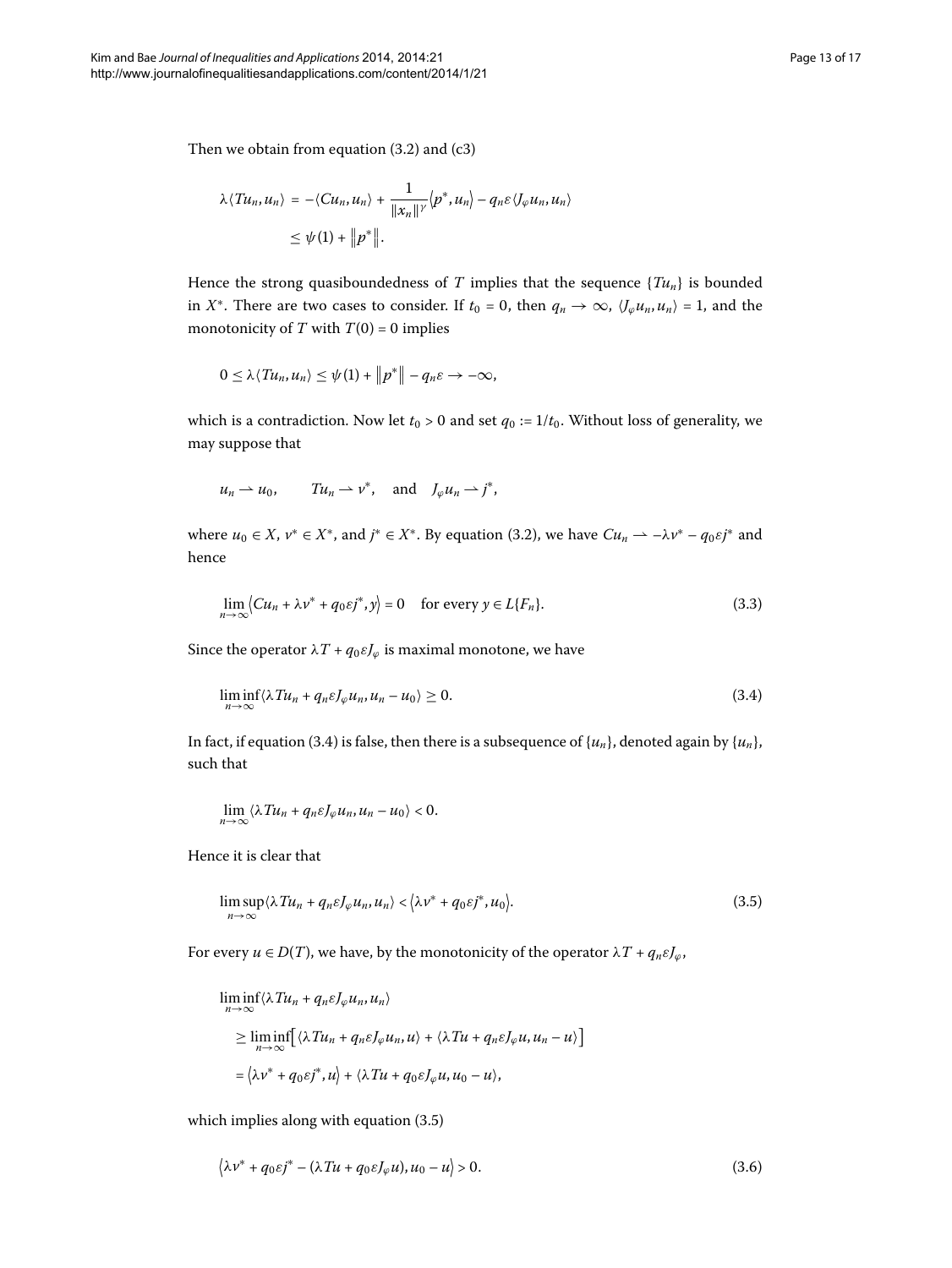$$
\lambda \langle T u_n, u_n \rangle = -\langle C u_n, u_n \rangle + \frac{1}{\|x_n\|^\gamma} \langle p^*, u_n \rangle - q_n \varepsilon \langle J_\varphi u_n, u_n \rangle
$$
  

$$
\leq \psi(1) + \|p^*\|.
$$

Hence the strong quasiboundedness of *T* implies that the sequence  $\{Tu_n\}$  is bounded in *X*<sup>\*</sup>. There are two cases to consider. If  $t_0 = 0$ , then  $q_n \to \infty$ ,  $\langle J_\varphi u_n, u_n \rangle = 1$ , and the monotonicity of *T* with  $T(0) = 0$  implies

$$
0\leq \lambda \langle T u_n, u_n \rangle \leq \psi(1) + \left\|p^*\right\| - q_n \varepsilon \to -\infty,
$$

which is a contradiction. Now let  $t_0 > 0$  and set  $q_0 := 1/t_0$ . Without loss of generality, we may suppose that

<span id="page-12-3"></span><span id="page-12-0"></span>
$$
u_n \rightharpoonup u_0
$$
,  $Tu_n \rightharpoonup v^*$ , and  $J_\varphi u_n \rightharpoonup j^*$ ,

where  $u_0 \in X$ ,  $v^* \in X^*$ , and  $j^* \in X^*$ [.](#page-11-1) By equation (3.2), we have  $Cu_n \rightharpoonup \rightharpoonup \lambda v^* - q_0 \varepsilon j^*$  and hence

$$
\lim_{n \to \infty} \langle Cu_n + \lambda v^* + q_0 \varepsilon j^*, y \rangle = 0 \quad \text{for every } y \in L\{F_n\}. \tag{3.3}
$$

Since the operator  $\lambda T + q_0 \varepsilon J_\varphi$  is maximal monotone, we have

<span id="page-12-1"></span>
$$
\liminf_{n \to \infty} \langle \lambda T u_n + q_n \varepsilon J_\varphi u_n, u_n - u_0 \rangle \ge 0. \tag{3.4}
$$

In fact, if equation (3.4) is false, then there is a subsequence of  $\{u_n\}$ , denoted again by  $\{u_n\}$ , such that

$$
\lim_{n\to\infty}\langle \lambda T u_n + q_n \varepsilon J_\varphi u_n, u_n - u_0 \rangle < 0.
$$

Hence it is clear that

$$
\limsup_{n\to\infty} \langle \lambda T u_n + q_n \varepsilon J_\varphi u_n, u_n \rangle < \langle \lambda \nu^* + q_0 \varepsilon j^*, u_0 \rangle.
$$
 (3.5)

For every  $u \in D(T)$ , we have, by the monotonicity of the operator  $\lambda T + q_n \varepsilon J_\varphi$ ,

<span id="page-12-2"></span>
$$
\liminf_{n \to \infty} \langle \lambda T u_n + q_n \varepsilon J_\varphi u_n, u_n \rangle
$$
\n
$$
\geq \liminf_{n \to \infty} \Big[ \langle \lambda T u_n + q_n \varepsilon J_\varphi u_n, u \rangle + \langle \lambda T u + q_n \varepsilon J_\varphi u, u_n - u \rangle \Big]
$$
\n
$$
= \langle \lambda v^* + q_0 \varepsilon j^*, u \rangle + \langle \lambda T u + q_0 \varepsilon J_\varphi u, u_0 - u \rangle,
$$

which implies along with equation  $(3.5)$ 

$$
\langle \lambda v^* + q_0 \varepsilon j^* - (\lambda T u + q_0 \varepsilon J_\varphi u), u_0 - u \rangle > 0.
$$
\n(3.6)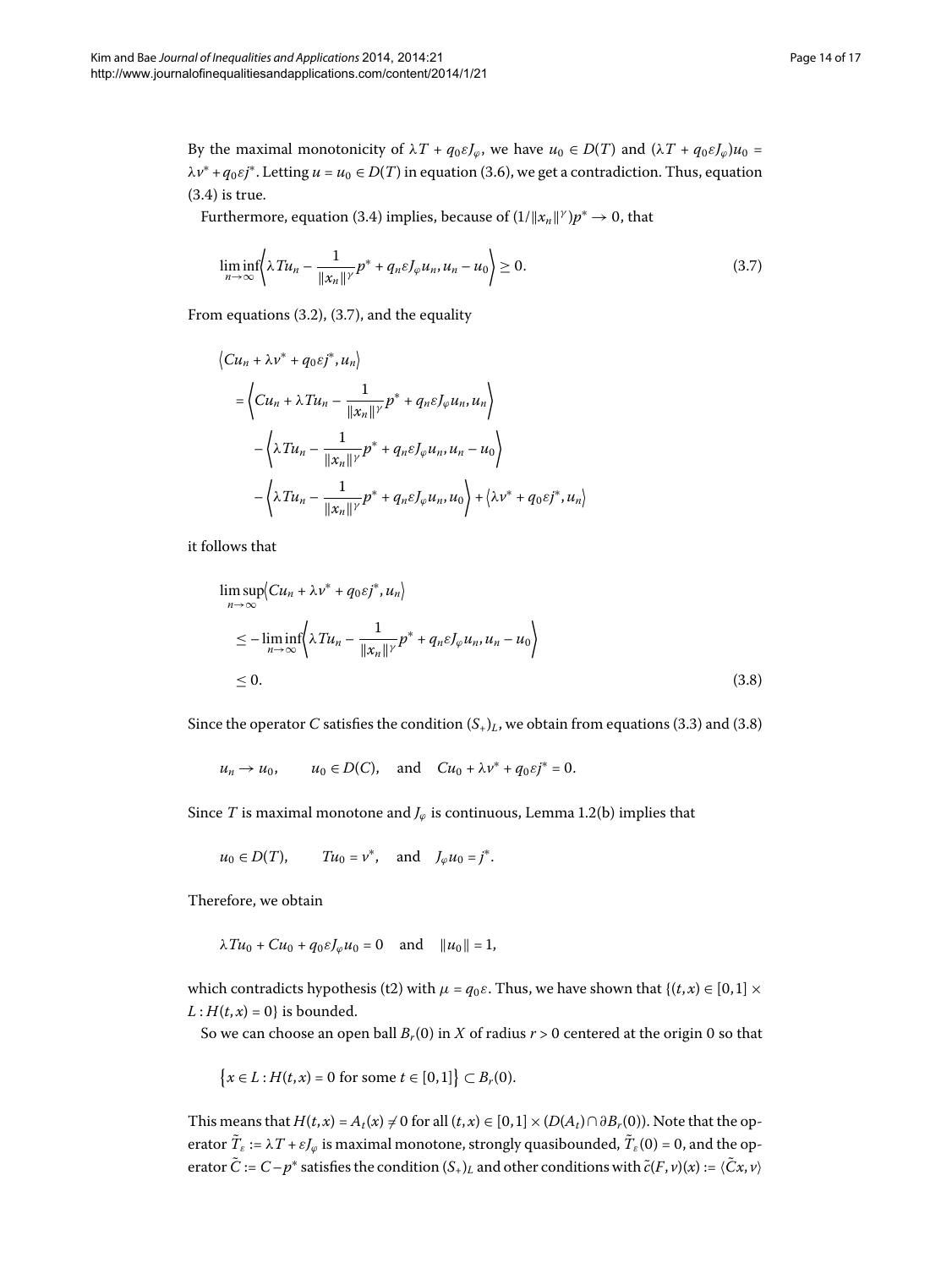By the maximal monotonicity of  $\lambda T + q_0 \varepsilon J_\varphi$ , we have  $u_0 \in D(T)$  and  $(\lambda T + q_0 \varepsilon J_\varphi)u_0 =$ *λv*<sup>∗</sup> + *q*<sub>0</sub> $ε$ *j*<sup>∗</sup>[.](#page-12-2) Letting *u* = *u*<sub>0</sub> ∈ *D*(*T*) in equation (3.6), we get a contradiction. Thus, equation  $(3.4)$  $(3.4)$  $(3.4)$  is true.

Furthermore, equation (3[.](#page-12-0)4) implies, because of  $(1/||x_n||^{\gamma})p^* \to 0$ , that

<span id="page-13-0"></span>
$$
\liminf_{n \to \infty} \left\langle \lambda T u_n - \frac{1}{\|x_n\|} p^* + q_n \varepsilon J_\varphi u_n, u_n - u_0 \right\rangle \ge 0. \tag{3.7}
$$

From equations  $(3.2)$  $(3.2)$  $(3.2)$ ,  $(3.7)$ , and the equality

$$
\langle Cu_n + \lambda v^* + q_0 \varepsilon j^*, u_n \rangle
$$
  
=  $\langle Cu_n + \lambda T u_n - \frac{1}{\|x_n\|^{\gamma}} p^* + q_n \varepsilon J_\varphi u_n, u_n \rangle$   
-  $\langle \lambda T u_n - \frac{1}{\|x_n\|^{\gamma}} p^* + q_n \varepsilon J_\varphi u_n, u_n - u_0 \rangle$   
-  $\langle \lambda T u_n - \frac{1}{\|x_n\|^{\gamma}} p^* + q_n \varepsilon J_\varphi u_n, u_0 \rangle + \langle \lambda v^* + q_0 \varepsilon j^*, u_n \rangle$ 

it follows that

<span id="page-13-1"></span>
$$
\limsup_{n \to \infty} \langle Cu_n + \lambda v^* + q_0 \varepsilon j^*, u_n \rangle
$$
  
\n
$$
\leq - \liminf_{n \to \infty} \langle \lambda T u_n - \frac{1}{\|x_n\|} p^* + q_n \varepsilon J_\varphi u_n, u_n - u_0 \rangle
$$
  
\n
$$
\leq 0.
$$
\n(3.8)

Since the operator *C* satisfies the condition  $(S_{+})_L$ , we obtain from equations (3[.](#page-13-1)3) and (3.8)

 $u_n \to u_0$ ,  $u_0 \in D(C)$ , and  $Cu_0 + \lambda v^* + q_0 \varepsilon j^* = 0$ .

Since *T* is maximal monotone and  $J_{\varphi}$  is continuous, Lemma 1[.](#page-3-4)2(b) implies that

$$
u_0 \in D(T)
$$
,  $Tu_0 = v^*$ , and  $J_{\varphi}u_0 = j^*$ .

Therefore, we obtain

$$
\lambda T u_0 + C u_0 + q_0 \varepsilon J_\varphi u_0 = 0 \quad \text{and} \quad ||u_0|| = 1,
$$

which contradicts hypothesis (t2) with  $\mu = q_0 \varepsilon$ . Thus, we have shown that { $(t, x) \in [0, 1] \times$  $L: H(t, x) = 0$  is bounded.

So we can choose an open ball  $B_r(0)$  in *X* of radius  $r > 0$  centered at the origin 0 so that

$$
{x \in L : H(t, x) = 0 \text{ for some } t \in [0, 1]} \subset B_r(0).
$$

This means that  $H(t, x) = A_t(x) \neq 0$  for all  $(t, x) \in [0, 1] \times (D(A_t) \cap \partial B_r(0))$ . Note that the operator  $\tilde{T}_{\varepsilon} := \lambda T + \varepsilon J_{\varphi}$  is maximal monotone, strongly quasibounded,  $\tilde{T}_{\varepsilon}(0) = 0$ , and the operator  $\tilde{C}$  :=  $C-p^*$  satisfies the condition  $(S_+)$ <sub>L</sub> and other conditions with  $\tilde{c}(F, v)(x) := \langle Cx, v \rangle$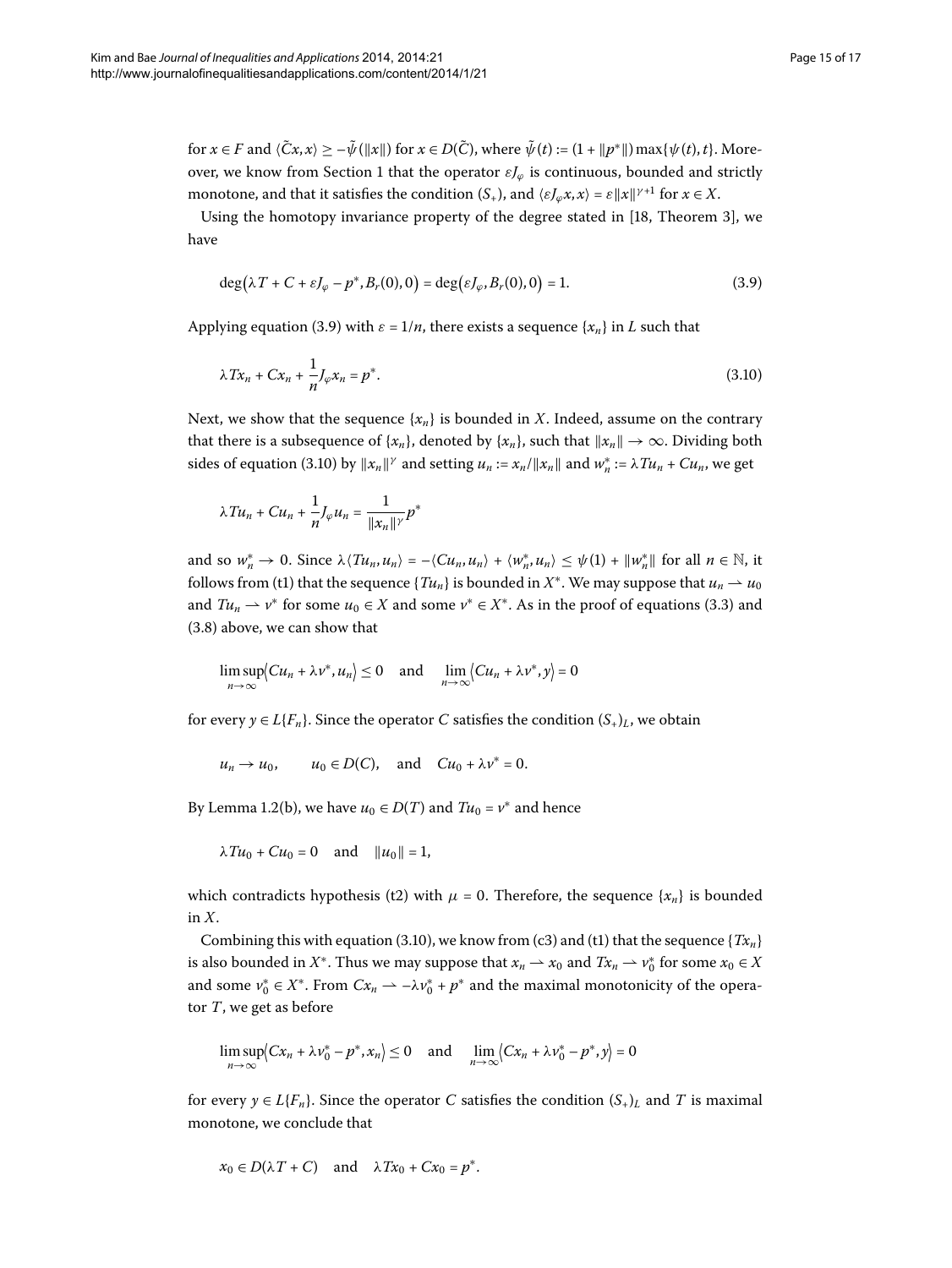for  $x \in F$  and  $\langle \tilde{C}x, x \rangle \geq -\tilde{\psi}(\|x\|)$  for  $x \in D(\tilde{C})$ , where  $\tilde{\psi}(t) := (1 + \|p^*\|) \max{\psi(t), t}$ . Moreover, we know from Section 1 that the operator  $εJ$ <sup> $φ$ </sup> is continuous, bounded and strictly monotone, and that it satisfies the condition  $(S_+)$ , and  $\langle \varepsilon J_\varphi x, x \rangle = \varepsilon ||x||^{\gamma+1}$  for  $x \in X$ .

Using the homotopy invariance property of the degree stated in  $[18,$  $[18,$  Theorem 3], we have

<span id="page-14-1"></span><span id="page-14-0"></span>
$$
\deg(\lambda T + C + \varepsilon J_{\varphi} - p^*, B_r(0), 0) = \deg(\varepsilon J_{\varphi}, B_r(0), 0) = 1.
$$
 (3.9)

Applying equation (3.9) with  $\varepsilon = 1/n$ , there exists a sequence  $\{x_n\}$  in *L* such that

$$
\lambda Tx_n + Cx_n + \frac{1}{n} J_\varphi x_n = p^*.
$$
\n(3.10)

Next, we show that the sequence  $\{x_n\}$  is bounded in *X*. Indeed, assume on the contrary that there is a subsequence of  $\{x_n\}$ , denoted by  $\{x_n\}$ , such that  $||x_n|| \to \infty$ . Dividing both sides of equation (3.10) by  $||x_n||^{\gamma}$  and setting  $u_n := x_n / ||x_n||$  and  $w_n^* := \lambda T u_n + C u_n$ , we get

$$
\lambda T u_n + C u_n + \frac{1}{n} J_\varphi u_n = \frac{1}{\|x_n\|^\gamma} p^*
$$

and so  $w_n^* \to 0$ . Since  $\lambda \langle \text{T} u_n, u_n \rangle = -\langle C u_n, u_n \rangle + \langle w_n^*, u_n \rangle \leq \psi(1) + ||w_n^*||$  for all  $n \in \mathbb{N}$ , it follows from (t1) that the sequence { $Tu_n$ } is bounded in  $X^*$ . We may suppose that  $u_n \to u_0$ and  $Tu_n \rightharpoonup v^*$  for some  $u_0 \in X$  and some  $v^* \in X^*$ . As in the proof of equations (3.3) and  $(3.8)$  above, we can show that

$$
\limsup_{n\to\infty}\Bigl(Cu_n+\lambda v^*,u_n\Bigr)\leq 0 \quad \text{and} \quad \lim_{n\to\infty}\Bigl(Cu_n+\lambda v^*,y\Bigr)=0
$$

for every  $y \in L\{F_n\}$ . Since the operator *C* satisfies the condition  $(S_+)$ , we obtain

$$
u_n \to u_0
$$
,  $u_0 \in D(C)$ , and  $Cu_0 + \lambda v^* = 0$ .

By Lemma 1.2(b), we have  $u_0 \in D(T)$  and  $Tu_0 = v^*$  and hence

$$
\lambda T u_0 + C u_0 = 0
$$
 and  $||u_0|| = 1$ ,

which contradicts hypothesis (t2) with  $\mu = 0$ . Therefore, the sequence  $\{x_n\}$  is bounded in *X*.

Combining this with equation (3[.](#page-14-1)10), we know from (c3) and (t1) that the sequence  ${Tx_n}$ is also bounded in  $X^*$ . Thus we may suppose that  $x_n \to x_0$  and  $Tx_n \to v_0^*$  for some  $x_0 \in X$ and some  $v_0^* \in X^*$ . From  $Cx_n \to -\lambda v_0^* + p^*$  and the maximal monotonicity of the operator *T*, we get as before

$$
\limsup_{n\to\infty}\langle Cx_n+\lambda\nu_0^*-p^*,x_n\rangle\leq 0 \quad \text{and} \quad \lim_{n\to\infty}\langle Cx_n+\lambda\nu_0^*-p^*,y\rangle=0
$$

for every  $y \in L\{F_n\}$ . Since the operator *C* satisfies the condition  $(S_+)$  and *T* is maximal monotone, we conclude that

$$
x_0 \in D(\lambda T + C)
$$
 and  $\lambda Tx_0 + Cx_0 = p^*$ .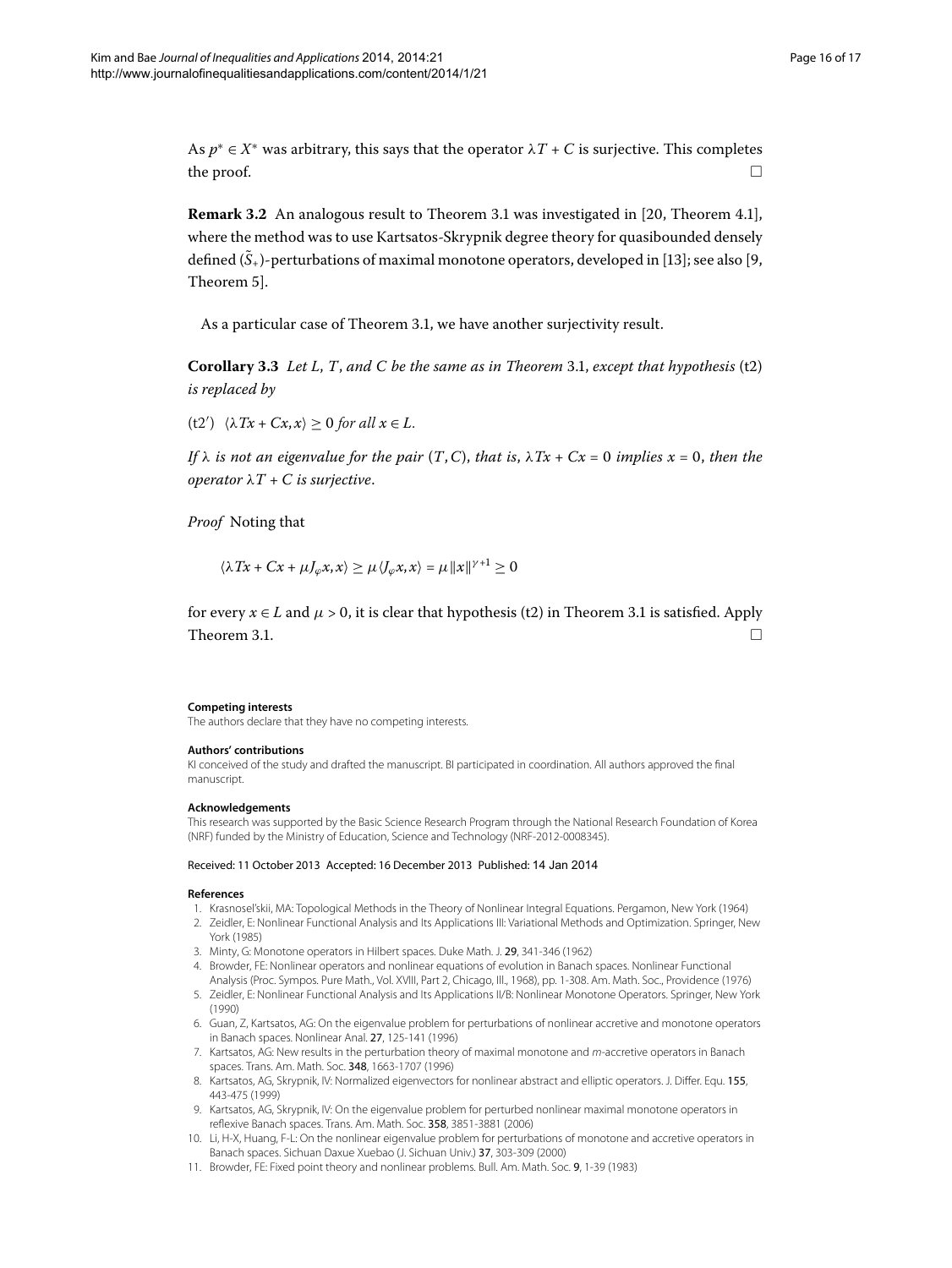As  $p^* \in X^*$  was arbitrary, this says that the operator  $\lambda T + C$  is surjective. This completes the proof.  $\Box$  $\Box$ 

**Remark 3[.](#page-11-2)2** An analogous result to Theorem 3.1 was investigated in [20, Theorem 4.1], where the method was to use Kartsatos-Skrypnik degree theory for quasibounded densely defined  $(S<sub>+</sub>)$ -perturbations of maximal monotone operators, developed in [13[\]](#page-16-1); see also [9[,](#page-15-9) Theorem 5].

As a particular case of Theorem 3[.](#page-11-2)1, we have another surjectivity result.

**Corollary 3[.](#page-11-2)3** Let L, T, and C be the same as in Theorem 3.1, except that hypothesis  $(t2)$ *is replaced by*

 $(t2')$   $\langle \lambda Tx + Cx, x \rangle \geq 0$  for all  $x \in L$ .

*If*  $\lambda$  *is not an eigenvalue for the pair*  $(T, C)$ *, that is,*  $\lambda Tx + Cx = 0$  *implies*  $x = 0$ *, then the operator*  $\lambda T + C$  *is surjective.* 

*Proof* Noting that

 $\langle \lambda Tx + Cx + \mu J_{\varphi} x, x \rangle \geq \mu \langle J_{\varphi} x, x \rangle = \mu ||x||^{\gamma+1} \geq 0$ 

for every  $x \in L$  and  $\mu > 0$ , it is clear that hypothesis (t2) in Theorem 3[.](#page-11-2)1 is satisfied. Apply Theorem 3[.](#page-11-2)1.

#### **Competing interests**

The authors declare that they have no competing interests.

#### **Authors' contributions**

<span id="page-15-1"></span><span id="page-15-0"></span>KI conceived of the study and drafted the manuscript. BI participated in coordination. All authors approved the final manuscript.

#### <span id="page-15-2"></span>**Acknowledgements**

<span id="page-15-3"></span>This research was supported by the Basic Science Research Program through the National Research Foundation of Korea (NRF) funded by the Ministry of Education, Science and Technology (NRF-2012-0008345).

#### <span id="page-15-5"></span><span id="page-15-4"></span>Received: 11 October 2013 Accepted: 16 December 2013 Published: 14 Jan 2014

#### <span id="page-15-8"></span>**References**

- 1. Krasnosel'skii, MA: Topological Methods in the Theory of Nonlinear Integral Equations. Pergamon, New York (1964)
- <span id="page-15-10"></span>2. Zeidler, E: Nonlinear Functional Analysis and Its Applications III: Variational Methods and Optimization. Springer, New York (1985)
- 3. Minty, G: Monotone operators in Hilbert spaces. Duke Math. J. 29, 341-346 (1962)
- <span id="page-15-9"></span>4. Browder, FE: Nonlinear operators and nonlinear equations of evolution in Banach spaces. Nonlinear Functional
- <span id="page-15-6"></span>Analysis (Proc. Sympos. Pure Math., Vol. XVIII, Part 2, Chicago, Ill., 1968), pp. 1-308. Am. Math. Soc., Providence (1976) 5. Zeidler, E: Nonlinear Functional Analysis and Its Applications II/B: Nonlinear Monotone Operators. Springer, New York (1990)
- <span id="page-15-7"></span>6. Guan, Z, Kartsatos, AG: On the eigenvalue problem for perturbations of nonlinear accretive and monotone operators in Banach spaces. Nonlinear Anal. 27, 125-141 (1996)
- 7. Kartsatos, AG: New results in the perturbation theory of maximal monotone and m-accretive operators in Banach spaces. Trans. Am. Math. Soc. 348, 1663-1707 (1996)
- 8. Kartsatos, AG, Skrypnik, IV: Normalized eigenvectors for nonlinear abstract and elliptic operators. J. Differ. Equ. 155, 443-475 (1999)
- 9. Kartsatos, AG, Skrypnik, IV: On the eigenvalue problem for perturbed nonlinear maximal monotone operators in reflexive Banach spaces. Trans. Am. Math. Soc. 358, 3851-3881 (2006)
- 10. Li, H-X, Huang, F-L: On the nonlinear eigenvalue problem for perturbations of monotone and accretive operators in Banach spaces. Sichuan Daxue Xuebao (J. Sichuan Univ.) 37, 303-309 (2000)
- 11. Browder, FE: Fixed point theory and nonlinear problems. Bull. Am. Math. Soc. 9, 1-39 (1983)